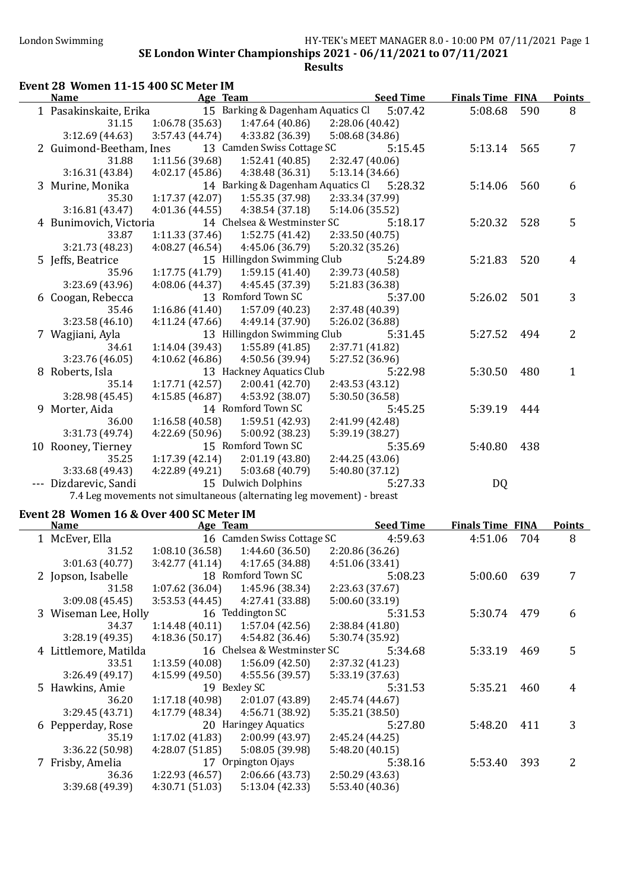#### London Swimming HY-TEK's MEET MANAGER 8.0 - 10:00 PM 07/11/2021 Page 1 SE London Winter Championships 2021 - 06/11/2021 to 07/11/2021 Results

# Event 28 Women 11-15 400 SC Meter IM

|   | <b>Name</b>             | Age Team        |                                                                        | <b>Seed Time</b> | <b>Finals Time FINA</b> |     | <b>Points</b> |
|---|-------------------------|-----------------|------------------------------------------------------------------------|------------------|-------------------------|-----|---------------|
|   | 1 Pasakinskaite, Erika  |                 | 15 Barking & Dagenham Aquatics Cl                                      | 5:07.42          | 5:08.68                 | 590 | 8             |
|   | 31.15                   | 1:06.78(35.63)  | 1:47.64(40.86)                                                         | 2:28.06(40.42)   |                         |     |               |
|   | 3:12.69(44.63)          | 3:57.43(44.74)  | 4:33.82 (36.39)                                                        | 5:08.68(34.86)   |                         |     |               |
|   | 2 Guimond-Beetham, Ines |                 | 13 Camden Swiss Cottage SC                                             | 5:15.45          | 5:13.14                 | 565 | 7             |
|   | 31.88                   | 1:11.56 (39.68) | 1:52.41(40.85)                                                         | 2:32.47 (40.06)  |                         |     |               |
|   | 3:16.31(43.84)          | 4:02.17(45.86)  | 4:38.48 (36.31)                                                        | 5:13.14(34.66)   |                         |     |               |
|   | 3 Murine, Monika        |                 | 14 Barking & Dagenham Aquatics Cl                                      | 5:28.32          | 5:14.06                 | 560 | 6             |
|   | 35.30                   | 1:17.37(42.07)  | 1:55.35(37.98)                                                         | 2:33.34 (37.99)  |                         |     |               |
|   | 3:16.81(43.47)          | 4:01.36 (44.55) | 4:38.54 (37.18)                                                        | 5:14.06 (35.52)  |                         |     |               |
|   | 4 Bunimovich, Victoria  |                 | 14 Chelsea & Westminster SC                                            | 5:18.17          | 5:20.32                 | 528 | 5             |
|   | 33.87                   | 1:11.33(37.46)  | 1:52.75 (41.42)                                                        | 2:33.50 (40.75)  |                         |     |               |
|   | 3:21.73 (48.23)         | 4:08.27(46.54)  | 4:45.06 (36.79)                                                        | 5:20.32 (35.26)  |                         |     |               |
|   | 5 Jeffs, Beatrice       |                 | 15 Hillingdon Swimming Club                                            | 5:24.89          | 5:21.83                 | 520 | 4             |
|   | 35.96                   | 1:17.75(41.79)  | 1:59.15(41.40)                                                         | 2:39.73 (40.58)  |                         |     |               |
|   | 3:23.69 (43.96)         | 4:08.06 (44.37) | 4:45.45 (37.39)                                                        | 5:21.83 (36.38)  |                         |     |               |
|   | 6 Coogan, Rebecca       |                 | 13 Romford Town SC                                                     | 5:37.00          | 5:26.02                 | 501 | 3             |
|   | 35.46                   | 1:16.86(41.40)  | 1:57.09(40.23)                                                         | 2:37.48 (40.39)  |                         |     |               |
|   | 3:23.58(46.10)          | 4:11.24(47.66)  | 4:49.14 (37.90)                                                        | 5:26.02 (36.88)  |                         |     |               |
|   | 7 Wagjiani, Ayla        |                 | 13 Hillingdon Swimming Club                                            | 5:31.45          | 5:27.52                 | 494 | 2             |
|   | 34.61                   | 1:14.04 (39.43) | 1:55.89 (41.85)                                                        | 2:37.71 (41.82)  |                         |     |               |
|   | 3:23.76 (46.05)         | 4:10.62(46.86)  | 4:50.56 (39.94)                                                        | 5:27.52 (36.96)  |                         |     |               |
|   | 8 Roberts, Isla         |                 | 13 Hackney Aquatics Club                                               | 5:22.98          | 5:30.50                 | 480 | $\mathbf{1}$  |
|   | 35.14                   | 1:17.71(42.57)  | 2:00.41 (42.70)                                                        | 2:43.53(43.12)   |                         |     |               |
|   | 3:28.98(45.45)          | 4:15.85(46.87)  | 4:53.92 (38.07)                                                        | 5:30.50 (36.58)  |                         |     |               |
| 9 | Morter, Aida            |                 | 14 Romford Town SC                                                     | 5:45.25          | 5:39.19                 | 444 |               |
|   | 36.00                   | 1:16.58(40.58)  | 1:59.51 (42.93)                                                        | 2:41.99 (42.48)  |                         |     |               |
|   | 3:31.73 (49.74)         | 4:22.69(50.96)  | 5:00.92 (38.23)                                                        | 5:39.19 (38.27)  |                         |     |               |
|   | 10 Rooney, Tierney      |                 | 15 Romford Town SC                                                     | 5:35.69          | 5:40.80                 | 438 |               |
|   | 35.25                   | 1:17.39(42.14)  | 2:01.19(43.80)                                                         | 2:44.25(43.06)   |                         |     |               |
|   | 3:33.68 (49.43)         | 4:22.89 (49.21) | 5:03.68 (40.79)                                                        | 5:40.80 (37.12)  |                         |     |               |
|   | Dizdarevic, Sandi       |                 | 15 Dulwich Dolphins                                                    | 5:27.33          | <b>DQ</b>               |     |               |
|   |                         |                 | 7.4 Leg movements not simultaneous (alternating leg movement) - breast |                  |                         |     |               |

# Event 28 Women 16 & Over 400 SC Meter IM

| <b>Name</b>           | Age Team        |                             | <b>Seed Time</b> | <b>Finals Time FINA</b> |     | <b>Points</b> |  |
|-----------------------|-----------------|-----------------------------|------------------|-------------------------|-----|---------------|--|
| 1 McEver, Ella        |                 | 16 Camden Swiss Cottage SC  | 4:59.63          | 4:51.06                 | 704 | 8             |  |
| 31.52                 | 1:08.10(36.58)  | 1:44.60(36.50)              | 2:20.86 (36.26)  |                         |     |               |  |
| 3:01.63(40.77)        | 3:42.77(41.14)  | 4:17.65 (34.88)             | 4:51.06(33.41)   |                         |     |               |  |
| 2 Jopson, Isabelle    |                 | 18 Romford Town SC          | 5:08.23          | 5:00.60                 | 639 |               |  |
| 31.58                 | 1:07.62(36.04)  | 1:45.96 (38.34)             | 2:23.63 (37.67)  |                         |     |               |  |
| 3:09.08(45.45)        | 3:53.53(44.45)  | 4:27.41 (33.88)             | 5:00.60(33.19)   |                         |     |               |  |
| 3 Wiseman Lee, Holly  |                 | 16 Teddington SC            | 5:31.53          | 5:30.74                 | 479 | 6             |  |
| 34.37                 | 1:14.48(40.11)  | 1:57.04(42.56)              | 2:38.84(41.80)   |                         |     |               |  |
| 3:28.19(49.35)        | 4:18.36(50.17)  | 4:54.82(36.46)              | 5:30.74 (35.92)  |                         |     |               |  |
| 4 Littlemore, Matilda |                 | 16 Chelsea & Westminster SC | 5:34.68          | 5:33.19                 | 469 | 5             |  |
| 33.51                 | 1:13.59(40.08)  | 1:56.09(42.50)              | 2:37.32 (41.23)  |                         |     |               |  |
| 3:26.49 (49.17)       | 4:15.99(49.50)  | 4:55.56 (39.57)             | 5:33.19 (37.63)  |                         |     |               |  |
| 5 Hawkins, Amie       |                 | 19 Bexley SC                | 5:31.53          | 5:35.21                 | 460 | 4             |  |
| 36.20                 | 1:17.18(40.98)  | 2:01.07(43.89)              | 2:45.74(44.67)   |                         |     |               |  |
| 3:29.45 (43.71)       | 4:17.79 (48.34) | 4:56.71 (38.92)             | 5:35.21 (38.50)  |                         |     |               |  |
| 6 Pepperday, Rose     |                 | 20 Haringey Aquatics        | 5:27.80          | 5:48.20                 | 411 | 3             |  |
| 35.19                 | 1:17.02(41.83)  | 2:00.99(43.97)              | 2:45.24(44.25)   |                         |     |               |  |
| 3:36.22 (50.98)       | 4:28.07(51.85)  | 5:08.05 (39.98)             | 5:48.20(40.15)   |                         |     |               |  |
| 7 Frisby, Amelia      |                 | 17 Orpington Ojays          | 5:38.16          | 5:53.40                 | 393 | 2             |  |
| 36.36                 | 1:22.93 (46.57) | 2:06.66(43.73)              | 2:50.29(43.63)   |                         |     |               |  |
| 3:39.68 (49.39)       | 4:30.71 (51.03) | 5:13.04(42.33)              | 5:53.40 (40.36)  |                         |     |               |  |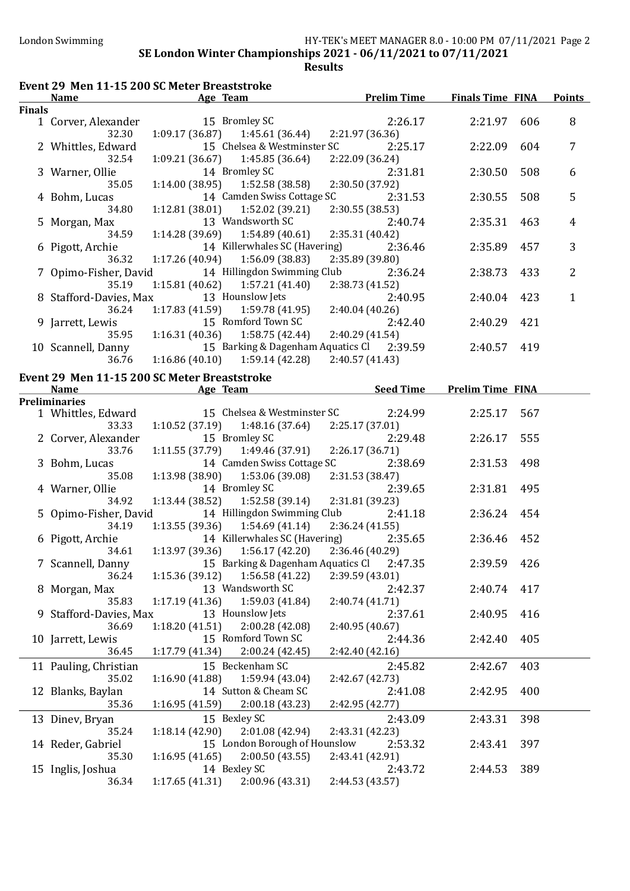Results

|               |                        | Event 29 Men 11-15 200 SC Meter Breaststroke                 |                    |                                |     |                |
|---------------|------------------------|--------------------------------------------------------------|--------------------|--------------------------------|-----|----------------|
|               | <b>Name</b>            | <b>Example 2016</b> Age Team                                 | <u>Prelim Time</u> | <b>Finals Time FINA Points</b> |     |                |
| <b>Finals</b> |                        |                                                              |                    |                                |     |                |
|               |                        | 1 Corver, Alexander 15 Bromley SC                            | 2:26.17            | 2:21.97                        | 606 | 8              |
|               | 32.30                  | $1:09.17(36.87)$ $1:45.61(36.44)$                            | 2:21.97 (36.36)    |                                |     |                |
|               | 2 Whittles, Edward     | 15 Chelsea & Westminster SC                                  | 2:25.17            | 2:22.09                        | 604 | $\overline{7}$ |
|               | 32.54                  | $1:09.21(36.67)$ $1:45.85(36.64)$                            | 2:22.09 (36.24)    |                                |     |                |
|               | 3 Warner, Ollie        | 14 Bromley SC                                                | 2:31.81            | 2:30.50                        | 508 | 6              |
|               | 35.05                  | $1:14.00(38.95)$ $1:52.58(38.58)$                            | 2:30.50 (37.92)    |                                |     |                |
|               | 4 Bohm, Lucas          | 14 Camden Swiss Cottage SC                                   | 2:31.53            | 2:30.55                        | 508 | 5              |
|               | 34.80                  | $1:12.81(38.01)$ $1:52.02(39.21)$                            | 2:30.55 (38.53)    |                                |     |                |
|               | 5 Morgan, Max          | 13 Wandsworth SC                                             | 2:40.74            | 2:35.31                        | 463 | $\overline{4}$ |
|               | 34.59                  | $1:14.28(39.69)$ $1:54.89(40.61)$                            | 2:35.31 (40.42)    |                                |     |                |
|               | 6 Pigott, Archie       | 14 Killerwhales SC (Havering)                                | 2:36.46            | 2:35.89                        | 457 | 3              |
|               | 36.32                  | $1:17.26(40.94)$ $1:56.09(38.83)$                            | 2:35.89 (39.80)    |                                |     |                |
|               | 7 Opimo-Fisher, David  | 14 Hillingdon Swimming Club                                  | 2:36.24            | 2:38.73                        | 433 | $\overline{2}$ |
|               | 35.19                  | $1:15.81(40.62)$ $1:57.21(41.40)$                            | 2:38.73 (41.52)    |                                |     |                |
|               | 8 Stafford-Davies, Max | 13 Hounslow Jets                                             | 2:40.95            | 2:40.04                        | 423 | $\mathbf{1}$   |
|               | 36.24                  | $1:17.83(41.59)$ $1:59.78(41.95)$                            | 2:40.04 (40.26)    |                                |     |                |
|               | 9 Jarrett, Lewis       | 15 Romford Town SC                                           | 2:42.40            | 2:40.29                        | 421 |                |
|               | 35.95                  | $1:16.31(40.36)$ $1:58.75(42.44)$                            | 2:40.29 (41.54)    |                                |     |                |
|               |                        | 10 Scannell, Danny 15 Barking & Dagenham Aquatics Cl 2:39.59 |                    | 2:40.57                        | 419 |                |
|               | 36.76                  | $1:16.86(40.10)$ $1:59.14(42.28)$                            | 2:40.57 (41.43)    |                                |     |                |
|               |                        |                                                              |                    |                                |     |                |
|               |                        | Event 29 Men 11-15 200 SC Meter Breaststroke                 |                    |                                |     |                |
|               | <b>Name</b>            | <b>Example 2</b> Age Team                                    | Seed Time          | <b>Prelim Time FINA</b>        |     |                |
|               | <b>Preliminaries</b>   |                                                              |                    |                                |     |                |
|               | 1 Whittles, Edward     | 15 Chelsea & Westminster SC                                  | 2:24.99            | 2:25.17                        | 567 |                |
|               | 33.33                  | 1:10.52 (37.19) $1:48.16$ (37.64) $2:25.17$ (37.01)          |                    |                                |     |                |
|               | 2 Corver, Alexander    | 15 Bromley SC                                                | 2:29.48            | 2:26.17                        | 555 |                |
|               | 33.76                  | $1:11.55(37.79)$ $1:49.46(37.91)$                            | 2:26.17 (36.71)    |                                |     |                |
|               | 3 Bohm, Lucas          | 14 Camden Swiss Cottage SC                                   | 2:38.69            | 2:31.53                        | 498 |                |
|               | 35.08                  | $1:13.98(38.90)$ $1:53.06(39.08)$                            | 2:31.53 (38.47)    |                                |     |                |
|               | 4 Warner, Ollie        | 14 Bromley SC                                                | 2:39.65            | 2:31.81                        | 495 |                |
|               | 34.92                  | $1:13.44(38.52)$ $1:52.58(39.14)$                            | 2:31.81 (39.23)    |                                |     |                |
|               | 5 Opimo-Fisher, David  | 14 Hillingdon Swimming Club                                  | 2:41.18            | 2:36.24 454                    |     |                |
|               | 34.19                  | 1:13.55 (39.36) $1:54.69$ (41.14) $2:36.24$ (41.55)          |                    |                                |     |                |
|               | 6 Pigott, Archie       | 14 Killerwhales SC (Havering)                                | 2:35.65            | 2:36.46 452                    |     |                |
|               | 34.61                  | 1:13.97 (39.36)  1:56.17 (42.20)  2:36.46 (40.29)            |                    |                                |     |                |
|               | 7 Scannell, Danny      | 15 Barking & Dagenham Aquatics Cl                            | 2:47.35            | 2:39.59                        | 426 |                |
|               | 36.24                  | 1:56.58(41.22)<br>1:15.36(39.12)                             | 2:39.59 (43.01)    |                                |     |                |
|               | 8 Morgan, Max          | 13 Wandsworth SC                                             | 2:42.37            | 2:40.74                        | 417 |                |
|               | 35.83                  | 1:59.03 (41.84)<br>1:17.19(41.36)                            | 2:40.74 (41.71)    |                                |     |                |
|               | 9 Stafford-Davies, Max | 13 Hounslow Jets                                             | 2:37.61            | 2:40.95                        | 416 |                |
|               | 36.69                  | 2:00.28 (42.08)<br>1:18.20(41.51)                            | 2:40.95 (40.67)    |                                |     |                |
|               | 10 Jarrett, Lewis      | 15 Romford Town SC                                           | 2:44.36            | 2:42.40                        | 405 |                |
|               | 36.45                  | 2:00.24 (42.45)<br>1:17.79(41.34)                            | 2:42.40 (42.16)    |                                |     |                |
|               | 11 Pauling, Christian  | 15 Beckenham SC                                              | 2:45.82            | 2:42.67                        | 403 |                |
|               | 35.02                  | 1:59.94 (43.04)<br>1:16.90(41.88)                            | 2:42.67 (42.73)    |                                |     |                |
|               | 12 Blanks, Baylan      | 14 Sutton & Cheam SC                                         | 2:41.08            | 2:42.95                        | 400 |                |
|               | 35.36                  | 2:00.18 (43.23)<br>1:16.95 (41.59)                           | 2:42.95 (42.77)    |                                |     |                |
|               |                        |                                                              |                    |                                |     |                |
|               | 13 Dinev, Bryan        | 15 Bexley SC                                                 | 2:43.09            | 2:43.31                        | 398 |                |
|               | 35.24                  | $1:18.14(42.90)$ $2:01.08(42.94)$                            | 2:43.31 (42.23)    |                                |     |                |
|               | 14 Reder, Gabriel      | 15 London Borough of Hounslow                                | 2:53.32            | 2:43.41                        | 397 |                |
|               | 35.30                  | $1:16.95(41.65)$ $2:00.50(43.55)$                            | 2:43.41 (42.91)    |                                |     |                |
|               | 15 Inglis, Joshua      | 14 Bexley SC                                                 | 2:43.72            | 2:44.53                        | 389 |                |
|               | 36.34                  | $1:17.65(41.31)$ $2:00.96(43.31)$                            | 2:44.53 (43.57)    |                                |     |                |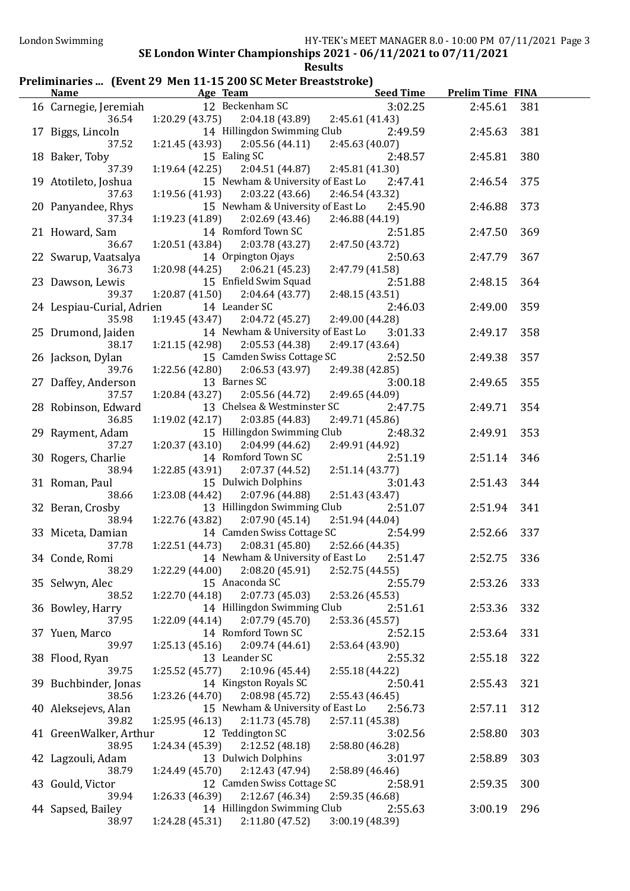# Preliminaries ... (Event 29 Men 11-15 200 SC Meter Breaststroke)

|                            | Name Age Team                                                     | <b>Seed Time</b>           | <b>Prelim Time FINA</b> |     |
|----------------------------|-------------------------------------------------------------------|----------------------------|-------------------------|-----|
| 16 Carnegie, Jeremiah      | 12 Beckenham SC                                                   | 3:02.25                    | 2:45.61                 | 381 |
| 36.54                      | $1:20.29$ (43.75) $2:04.18$ (43.89) $2:45.61$ (41.43)             |                            |                         |     |
| 17 Biggs, Lincoln          | 14 Hillingdon Swimming Club                                       | 2:49.59                    | 2:45.63                 | 381 |
| 37.52                      | 2:05.56(44.11)<br>1:21.45 (43.93)                                 | 2:45.63(40.07)             |                         |     |
| 18 Baker, Toby             | 15 Ealing SC                                                      | 2:48.57                    | 2:45.81                 | 380 |
| 37.39                      | 1:19.64(42.25)<br>2:04.51 (44.87)                                 | 2:45.81 (41.30)            |                         |     |
| 19 Atotileto, Joshua       | 15 Newham & University of East Lo 2:47.41                         |                            | 2:46.54                 | 375 |
| 37.63                      | 2:03.22(43.66)<br>1:19.56 (41.93)                                 | 2:46.54(43.32)             |                         |     |
| 20 Panyandee, Rhys         | 15 Newham & University of East Lo                                 | 2:45.90                    | 2:46.88                 | 373 |
| 37.34                      | 2:02.69(43.46)<br>1:19.23(41.89)<br>14 Romford Town SC            | 2:46.88(44.19)<br>2:51.85  |                         | 369 |
| 21 Howard, Sam<br>36.67    | 2:03.78 (43.27)<br>1:20.51(43.84)                                 | 2:47.50 (43.72)            | 2:47.50                 |     |
| 22 Swarup, Vaatsalya       | 14 Orpington Ojays                                                | 2:50.63                    | 2:47.79                 | 367 |
| 36.73                      | $1:20.98(44.25)$ $2:06.21(45.23)$                                 | 2:47.79 (41.58)            |                         |     |
| 23 Dawson, Lewis           | 15 Enfield Swim Squad                                             | 2:51.88                    | 2:48.15                 | 364 |
| 39.37                      | 1:20.87(41.50)<br>2:04.64(43.77)                                  | 2:48.15 (43.51)            |                         |     |
| 24 Lespiau-Curial, Adrien  | 14 Leander SC                                                     | 2:46.03                    | 2:49.00                 | 359 |
| 35.98                      | $1:19.45(43.47)$ $2:04.72(45.27)$                                 | 2:49.00 (44.28)            |                         |     |
| 25 Drumond, Jaiden         | 14 Newham & University of East Lo                                 | 3:01.33                    | 2:49.17                 | 358 |
| 38.17                      | $1:21.15(42.98)$ $2:05.53(44.38)$                                 | 2:49.17 (43.64)            |                         |     |
| 26 Jackson, Dylan          | 15 Camden Swiss Cottage SC                                        | 2:52.50                    | 2:49.38                 | 357 |
| 39.76                      | $1:22.56(42.80)$ $2:06.53(43.97)$                                 | 2:49.38 (42.85)            |                         |     |
| 27 Daffey, Anderson        | 13 Barnes SC                                                      | 3:00.18                    | 2:49.65                 | 355 |
| 37.57                      | $1:20.84(43.27)$ $2:05.56(44.72)$                                 | 2:49.65 (44.09)            |                         |     |
| 28 Robinson, Edward        | 13 Chelsea & Westminster SC                                       | 2:47.75                    | 2:49.71                 | 354 |
| 36.85                      | $1:19.02$ (42.17) $2:03.85$ (44.83)                               | 2:49.71 (45.86)            |                         |     |
| 29 Rayment, Adam           | 15 Hillingdon Swimming Club                                       | 2:48.32                    | 2:49.91                 | 353 |
| 37.27                      | $1:20.37(43.10)$ $2:04.99(44.62)$                                 | 2:49.91 (44.92)            |                         |     |
| 30 Rogers, Charlie         | 14 Romford Town SC                                                | 2:51.19                    | 2:51.14                 | 346 |
| 38.94                      | 1:22.85(43.91)<br>2:07.37 (44.52)                                 | 2:51.14(43.77)             |                         |     |
| 31 Roman, Paul             | 15 Dulwich Dolphins                                               | 3:01.43                    | 2:51.43                 | 344 |
| 38.66<br>32 Beran, Crosby  | 2:07.96 (44.88)<br>1:23.08 (44.42)<br>13 Hillingdon Swimming Club | 2:51.43 (43.47)<br>2:51.07 | 2:51.94                 | 341 |
| 38.94                      | 2:07.90(45.14)<br>1:22.76 (43.82)                                 | 2:51.94 (44.04)            |                         |     |
| 33 Miceta, Damian          | 14 Camden Swiss Cottage SC                                        | 2:54.99                    | 2:52.66                 | 337 |
| 37.78                      | $1:22.51(44.73)$ $2:08.31(45.80)$                                 | 2:52.66 (44.35)            |                         |     |
| 34 Conde, Romi             | 14 Newham & University of East Lo 2:51.47                         |                            | 2:52.75                 | 336 |
| 38.29                      | $1:22.29(44.00)$ $2:08.20(45.91)$                                 | 2:52.75 (44.55)            |                         |     |
| 35 Selwyn, Alec            | 15 Anaconda SC                                                    | 2:55.79                    | 2:53.26                 | 333 |
| 38.52                      | $1:22.70(44.18)$ $2:07.73(45.03)$                                 | 2:53.26 (45.53)            |                         |     |
| 36 Bowley, Harry           | 14 Hillingdon Swimming Club                                       | 2:51.61                    | 2:53.36                 | 332 |
| 37.95                      | 2:07.79(45.70)<br>1:22.09(44.14)                                  | 2:53.36 (45.57)            |                         |     |
| 37 Yuen, Marco             | 14 Romford Town SC                                                | 2:52.15                    | 2:53.64                 | 331 |
| 39.97                      | 2:09.74(44.61)<br>1:25.13(45.16)                                  | 2:53.64 (43.90)            |                         |     |
| 38 Flood, Ryan             | 13 Leander SC                                                     | 2:55.32                    | 2:55.18                 | 322 |
| 39.75                      | 2:10.96(45.44)<br>1:25.52(45.77)                                  | 2:55.18 (44.22)            |                         |     |
| 39 Buchbinder, Jonas       | 14 Kingston Royals SC                                             | 2:50.41                    | 2:55.43                 | 321 |
| 38.56                      | 2:08.98(45.72)<br>1:23.26(44.70)                                  | 2:55.43 (46.45)            |                         |     |
| 40 Aleksejevs, Alan        | 15 Newham & University of East Lo                                 | 2:56.73                    | 2:57.11                 | 312 |
| 39.82                      | 2:11.73(45.78)<br>1:25.95(46.13)                                  | 2:57.11 (45.38)            |                         |     |
| 41 GreenWalker, Arthur     | 12 Teddington SC                                                  | 3:02.56                    | 2:58.80                 | 303 |
| 38.95                      | 2:12.52(48.18)<br>1:24.34 (45.39)                                 | 2:58.80 (46.28)            |                         |     |
| 42 Lagzouli, Adam          | 13 Dulwich Dolphins                                               | 3:01.97                    | 2:58.89                 | 303 |
| 38.79                      | 2:12.43 (47.94)<br>1:24.49 (45.70)                                | 2:58.89(46.46)             |                         |     |
| 43 Gould, Victor           | 12 Camden Swiss Cottage SC                                        | 2:58.91                    | 2:59.35                 | 300 |
| 39.94                      | 2:12.67 (46.34)<br>1:26.33 (46.39)<br>14 Hillingdon Swimming Club | 2:59.35 (46.68)<br>2:55.63 | 3:00.19                 | 296 |
| 44 Sapsed, Bailey<br>38.97 | 2:11.80(47.52)<br>1:24.28(45.31)                                  | 3:00.19(48.39)             |                         |     |
|                            |                                                                   |                            |                         |     |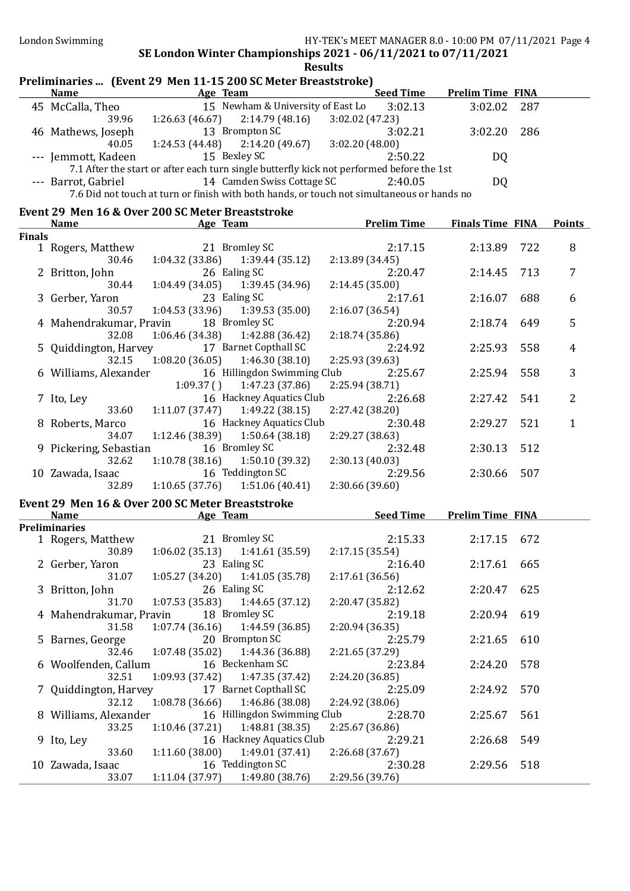# Preliminaries ... (Event 29 Men 11-15 200 SC Meter Breaststroke)

| <b>Name</b>                                                                                | Age Team                          |                                                                                           |                | <b>Seed Time</b> | <b>Prelim Time FINA</b> |      |  |  |
|--------------------------------------------------------------------------------------------|-----------------------------------|-------------------------------------------------------------------------------------------|----------------|------------------|-------------------------|------|--|--|
| 45 McCalla, Theo                                                                           |                                   | 15 Newham & University of East Lo                                                         |                | 3:02.13          | 3:02.02                 | -287 |  |  |
| 39.96                                                                                      | 1:26.63(46.67)                    | 2:14.79 (48.16)                                                                           | 3:02.02(47.23) |                  |                         |      |  |  |
| 46 Mathews, Joseph                                                                         |                                   | 13 Brompton SC                                                                            |                | 3:02.21          | 3:02.20                 | -286 |  |  |
| 40.05                                                                                      | $1:24.53(44.48)$ $2:14.20(49.67)$ |                                                                                           | 3:02.20(48.00) |                  |                         |      |  |  |
| --- Jemmott, Kadeen                                                                        |                                   | 15 Bexley SC                                                                              |                | 2:50.22          | DQ                      |      |  |  |
|                                                                                            |                                   | 7.1 After the start or after each turn single butterfly kick not performed before the 1st |                |                  |                         |      |  |  |
| --- Barrot, Gabriel                                                                        |                                   | 14 Camden Swiss Cottage SC                                                                |                | 2:40.05          | DQ                      |      |  |  |
| 7.6 Did not touch at turn or finish with both hands, or touch not simultaneous or hands no |                                   |                                                                                           |                |                  |                         |      |  |  |

# Event 29 Men 16 & Over 200 SC Meter Breaststroke

|               | <b>Name</b>                                       | Age Team                              |                                                       | <b>Prelim Time</b> | <b>Finals Time FINA</b> |     | <b>Points</b>            |
|---------------|---------------------------------------------------|---------------------------------------|-------------------------------------------------------|--------------------|-------------------------|-----|--------------------------|
| <b>Finals</b> |                                                   |                                       |                                                       |                    |                         |     |                          |
|               | 1 Rogers, Matthew                                 |                                       | 21 Bromley SC                                         | 2:17.15            | 2:13.89 722             |     | 8                        |
|               | 30.46                                             |                                       | $1:04.32(33.86)$ $1:39.44(35.12)$                     | 2:13.89(34.45)     |                         |     |                          |
|               | 2 Britton, John                                   |                                       | 26 Ealing SC                                          | 2:20.47            | 2:14.45                 | 713 | 7                        |
|               | 30.44                                             |                                       | $1:04.49(34.05)$ $1:39.45(34.96)$                     | 2:14.45(35.00)     |                         |     |                          |
|               | 3 Gerber, Yaron 23 Ealing SC                      |                                       |                                                       | 2:17.61            | 2:16.07                 | 688 | 6                        |
|               | 30.57                                             |                                       | $1:04.53(33.96)$ $1:39.53(35.00)$                     | 2:16.07(36.54)     |                         |     |                          |
|               | 4 Mahendrakumar, Pravin 18 Bromley SC             |                                       |                                                       | 2:20.94            | 2:18.74                 | 649 | 5                        |
|               |                                                   | 32.08 1:06.46 (34.38) 1:42.88 (36.42) |                                                       | 2:18.74 (35.86)    |                         |     |                          |
|               | 5 Quiddington, Harvey 17 Barnet Copthall SC       |                                       |                                                       | 2:24.92            | 2:25.93                 | 558 | 4                        |
|               |                                                   |                                       | 32.15 1:08.20 (36.05) 1:46.30 (38.10) 2:25.93 (39.63) |                    |                         |     |                          |
|               | 6 Williams, Alexander 16 Hillingdon Swimming Club |                                       |                                                       | 2:25.67            | 2:25.94                 | 558 | 3                        |
|               |                                                   |                                       | $1:09.37$ () $1:47.23$ (37.86)                        | 2:25.94(38.71)     |                         |     |                          |
|               | 7 Ito, Ley                                        |                                       | 16 Hackney Aquatics Club                              | 2:26.68            | 2:27.42                 | 541 | $\overline{\mathcal{L}}$ |
|               | 33.60                                             |                                       | $1:11.07(37.47)$ $1:49.22(38.15)$                     | 2:27.42 (38.20)    |                         |     |                          |
|               | 8 Roberts, Marco 16 Hackney Aquatics Club         |                                       |                                                       | 2:30.48            | 2:29.27                 | 521 |                          |
|               |                                                   |                                       | 34.07 1:12.46 (38.39) 1:50.64 (38.18) 2:29.27 (38.63) |                    |                         |     |                          |
|               | 9 Pickering, Sebastian                            |                                       | 16 Bromley SC                                         | 2:32.48            | 2:30.13                 | 512 |                          |
|               | 32.62                                             |                                       | $1:10.78(38.16)$ $1:50.10(39.32)$ $2:30.13(40.03)$    |                    |                         |     |                          |
|               | 10 Zawada, Isaac                                  |                                       | 16 Teddington SC                                      | 2:29.56            | 2:30.66                 | 507 |                          |
|               | 32.89                                             | $1:10.65(37.76)$ $1:51.06(40.41)$     |                                                       | 2:30.66 (39.60)    |                         |     |                          |
|               |                                                   |                                       |                                                       |                    |                         |     |                          |

# Event 29 Men 16 & Over 200 SC Meter Breaststroke

| <b>Name</b>                                       | Age Team                                  |                                                       | <b>Seed Time</b>                                    | <b>Prelim Time FINA</b> |     |  |
|---------------------------------------------------|-------------------------------------------|-------------------------------------------------------|-----------------------------------------------------|-------------------------|-----|--|
| <b>Preliminaries</b>                              |                                           |                                                       |                                                     |                         |     |  |
| 1 Rogers, Matthew                                 |                                           | 21 Bromley SC                                         | 2:15.33                                             | 2:17.15 672             |     |  |
| 30.89                                             | $1:06.02(35.13)$ $1:41.61(35.59)$         |                                                       | 2:17.15(35.54)                                      |                         |     |  |
| 2 Gerber, Yaron 23 Ealing SC                      |                                           |                                                       | 2:16.40                                             | 2:17.61                 | 665 |  |
|                                                   | 31.07   1:05.27 (34.20)   1:41.05 (35.78) |                                                       | 2:17.61(36.56)                                      |                         |     |  |
| 3 Britton, John                                   | 26 Ealing SC                              |                                                       | 2:12.62                                             | 2:20.47 625             |     |  |
| 31.70                                             | $1:07.53(35.83)$ $1:44.65(37.12)$         |                                                       | 2:20.47 (35.82)                                     |                         |     |  |
| 4 Mahendrakumar, Pravin 18 Bromley SC             |                                           |                                                       | 2:19.18                                             | 2:20.94 619             |     |  |
| 31.58                                             | $1:07.74(36.16)$ $1:44.59(36.85)$         |                                                       | 2:20.94(36.35)                                      |                         |     |  |
| 5 Barnes, George 20 Brompton SC                   |                                           |                                                       | 2:25.79                                             | 2:21.65 610             |     |  |
|                                                   | 32.46 1:07.48 (35.02) 1:44.36 (36.88)     |                                                       | 2:21.65 (37.29)                                     |                         |     |  |
| 6 Woolfenden, Callum 16 Beckenham SC              |                                           |                                                       | 2:23.84                                             | 2:24.20                 | 578 |  |
|                                                   |                                           | 32.51 1:09.93 (37.42) 1:47.35 (37.42) 2:24.20 (36.85) |                                                     |                         |     |  |
|                                                   |                                           |                                                       | 7 Quiddington, Harvey 17 Barnet Copthall SC 2:25.09 | 2:24.92                 | 570 |  |
| 32.12                                             |                                           | $1:08.78(36.66)$ $1:46.86(38.08)$ $2:24.92(38.06)$    |                                                     |                         |     |  |
| 8 Williams, Alexander 16 Hillingdon Swimming Club |                                           |                                                       | 2:28.70                                             | 2:25.67                 | 561 |  |
| 33.25                                             | $1:10.46(37.21)$ $1:48.81(38.35)$         |                                                       | 2:25.67 (36.86)                                     |                         |     |  |
| 9 Ito, Ley                                        |                                           | 16 Hackney Aquatics Club                              | 2:29.21                                             | 2:26.68                 | 549 |  |
|                                                   |                                           | 33.60 1:11.60 (38.00) 1:49.01 (37.41) 2:26.68 (37.67) |                                                     |                         |     |  |
| 10 Zawada, Isaac 16 Teddington SC                 |                                           |                                                       | 2:30.28                                             | 2:29.56                 | 518 |  |
| 33.07                                             |                                           | $1:11.04(37.97)$ $1:49.80(38.76)$ $2:29.56(39.76)$    |                                                     |                         |     |  |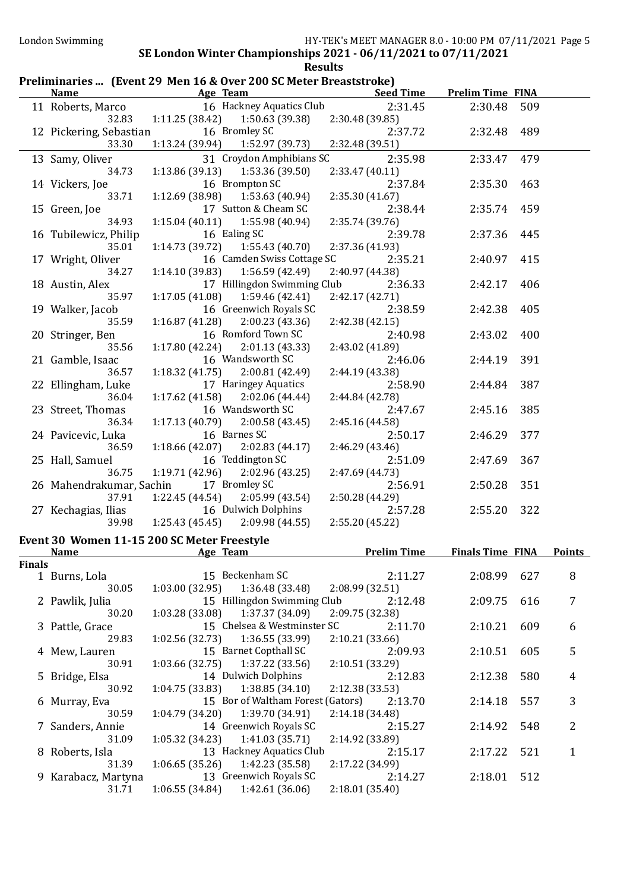# Preliminaries ... (Event 29 Men 16 & Over 200 SC Meter Breaststroke)

|        | <b>Name</b>                      | <b>Example 2016</b> Age Team                                           | <u>Seed Time</u>           | <b>Prelim Time FINA</b>             |     |                |
|--------|----------------------------------|------------------------------------------------------------------------|----------------------------|-------------------------------------|-----|----------------|
|        | 11 Roberts, Marco                | 16 Hackney Aquatics Club                                               | 2:31.45                    | 2:30.48                             | 509 |                |
|        | 32.83<br>12 Pickering, Sebastian | $1:11.25(38.42)$ $1:50.63(39.38)$<br>16 Bromley SC                     | 2:30.48 (39.85)<br>2:37.72 | 2:32.48                             | 489 |                |
|        | 33.30                            | 1:13.24 (39.94) 1:52.97 (39.73)                                        | 2:32.48 (39.51)            |                                     |     |                |
|        | 13 Samy, Oliver                  | 31 Croydon Amphibians SC                                               | 2:35.98                    | 2:33.47                             | 479 |                |
|        | 34.73                            | $1:13.86(39.13)$ $1:53.36(39.50)$                                      | 2:33.47 (40.11)            |                                     |     |                |
|        | 14 Vickers, Joe                  | 16 Brompton SC                                                         | 2:37.84                    | 2:35.30                             | 463 |                |
|        | 33.71                            | $1:12.69$ (38.98) $1:53.63$ (40.94)<br>17 Sutton & Cheam SC            | 2:35.30 (41.67)<br>2:38.44 | 2:35.74                             | 459 |                |
|        | 15 Green, Joe<br>34.93           | $1:15.04(40.11)$ $1:55.98(40.94)$                                      | 2:35.74 (39.76)            |                                     |     |                |
|        | 16 Tubilewicz, Philip            | 16 Ealing SC                                                           | 2:39.78                    | 2:37.36                             | 445 |                |
|        | 35.01                            | $1:14.73(39.72)$ $1:55.43(40.70)$                                      | 2:37.36 (41.93)            |                                     |     |                |
|        | 17 Wright, Oliver                | 16 Camden Swiss Cottage SC                                             | 2:35.21                    | 2:40.97                             | 415 |                |
|        | 34.27                            | $1:14.10(39.83)$ $1:56.59(42.49)$                                      | 2:40.97 (44.38)            |                                     |     |                |
|        | 18 Austin, Alex                  | 17 Hillingdon Swimming Club                                            | 2:36.33                    | 2:42.17                             | 406 |                |
|        | 35.97                            | $1:17.05(41.08)$ $1:59.46(42.41)$                                      | 2:42.17 (42.71)            |                                     |     |                |
|        | 19 Walker, Jacob                 | 16 Greenwich Royals SC                                                 | 2:38.59                    | 2:42.38                             | 405 |                |
|        | 35.59                            | $1:16.87(41.28)$ $2:00.23(43.36)$                                      | 2:42.38 (42.15)            |                                     |     |                |
|        | 20 Stringer, Ben                 | 16 Romford Town SC                                                     | 2:40.98                    | 2:43.02                             | 400 |                |
|        | 35.56                            | $1:17.80(42.24)$ $2:01.13(43.33)$                                      | 2:43.02 (41.89)            |                                     |     |                |
|        | 21 Gamble, Isaac                 | 16 Wandsworth SC                                                       | 2:46.06                    | 2:44.19                             | 391 |                |
|        | 36.57                            | $1:18.32(41.75)$ $2:00.81(42.49)$                                      | 2:44.19 (43.38)            |                                     |     |                |
|        | 22 Ellingham, Luke               | 17 Haringey Aquatics                                                   | 2:58.90                    | 2:44.84                             | 387 |                |
|        | 36.04                            | $1:17.62$ (41.58) $2:02.06$ (44.44)                                    | 2:44.84 (42.78)            |                                     |     |                |
|        | 23 Street, Thomas                | 16 Wandsworth SC                                                       | 2:47.67                    | 2:45.16                             | 385 |                |
|        | 36.34                            | $1:17.13(40.79)$ $2:00.58(43.45)$                                      | 2:45.16 (44.58)            |                                     |     |                |
|        | 24 Pavicevic, Luka               | 16 Barnes SC                                                           | 2:50.17                    | 2:46.29                             | 377 |                |
|        | 36.59<br>25 Hall, Samuel         | $1:18.66(42.07)$ $2:02.83(44.17)$<br>16 Teddington SC                  | 2:46.29 (43.46)<br>2:51.09 | 2:47.69                             | 367 |                |
|        | 36.75                            | $1:19.71(42.96)$ $2:02.96(43.25)$                                      | 2:47.69 (44.73)            |                                     |     |                |
|        |                                  | 26 Mahendrakumar, Sachin 17 Bromley SC                                 | 2:56.91                    | 2:50.28                             | 351 |                |
|        | 37.91                            | $1:22.45(44.54)$ $2:05.99(43.54)$                                      | 2:50.28 (44.29)            |                                     |     |                |
|        |                                  | 27 Kechagias, Ilias 16 Dulwich Dolphins                                | 2:57.28                    | 2:55.20                             | 322 |                |
|        | 39.98                            | 1:25.43 (45.45) 2:09.98 (44.55)                                        | 2:55.20(45.22)             |                                     |     |                |
|        |                                  | Event 30 Women 11-15 200 SC Meter Freestyle                            |                            |                                     |     |                |
|        | <b>Name</b>                      | <b>Example 2</b> Age Team                                              |                            | <b>Prelim Time Finals Time FINA</b> |     | <b>Points</b>  |
| Finals |                                  |                                                                        |                            |                                     |     |                |
|        | 1 Burns, Lola                    | 15 Beckenham SC                                                        | 2:11.27                    | 2:08.99                             | 627 | 8              |
|        | 30.05                            | 1:36.48 (33.48)<br>1:03.00(32.95)                                      | 2:08.99 (32.51)            |                                     |     |                |
|        | 2 Pawlik, Julia                  | 15 Hillingdon Swimming Club                                            | 2:12.48                    | 2:09.75                             | 616 | 7              |
|        | 30.20                            | 1:37.37 (34.09)<br>1:03.28 (33.08)                                     | 2:09.75 (32.38)            |                                     |     |                |
|        | 3 Pattle, Grace                  | 15 Chelsea & Westminster SC                                            | 2:11.70                    | 2:10.21                             | 609 | 6              |
|        | 29.83                            | 1:36.55 (33.99)<br>1:02.56 (32.73)                                     | 2:10.21 (33.66)            |                                     |     |                |
|        | 4 Mew, Lauren                    | 15 Barnet Copthall SC                                                  | 2:09.93                    | 2:10.51                             | 605 | 5              |
|        | 30.91                            | 1:37.22 (33.56)<br>1:03.66 (32.75)                                     | 2:10.51 (33.29)            |                                     |     |                |
|        | 5 Bridge, Elsa                   | 14 Dulwich Dolphins                                                    | 2:12.83                    | 2:12.38                             | 580 | 4              |
|        | 30.92                            | 1:38.85(34.10)<br>1:04.75 (33.83)<br>15 Bor of Waltham Forest (Gators) | 2:12.38 (33.53)<br>2:13.70 |                                     | 557 | 3              |
|        | 6 Murray, Eva<br>30.59           | 1:39.70 (34.91)<br>1:04.79 (34.20)                                     | 2:14.18 (34.48)            | 2:14.18                             |     |                |
|        | 7 Sanders, Annie                 | 14 Greenwich Royals SC                                                 | 2:15.27                    | 2:14.92                             | 548 | $\overline{2}$ |
|        | 31.09                            | 1:41.03(35.71)<br>1:05.32 (34.23)                                      | 2:14.92 (33.89)            |                                     |     |                |
|        | 8 Roberts, Isla                  | 13 Hackney Aquatics Club                                               | 2:15.17                    | 2:17.22                             | 521 | $\mathbf{1}$   |
|        | 31.39                            | 1:06.65(35.26)<br>1:42.23 (35.58)                                      | 2:17.22 (34.99)            |                                     |     |                |
|        | 9 Karabacz, Martyna              | 13 Greenwich Royals SC                                                 | 2:14.27                    | 2:18.01                             | 512 |                |
|        | 31.71                            | 1:42.61 (36.06)<br>1:06.55(34.84)                                      | 2:18.01 (35.40)            |                                     |     |                |
|        |                                  |                                                                        |                            |                                     |     |                |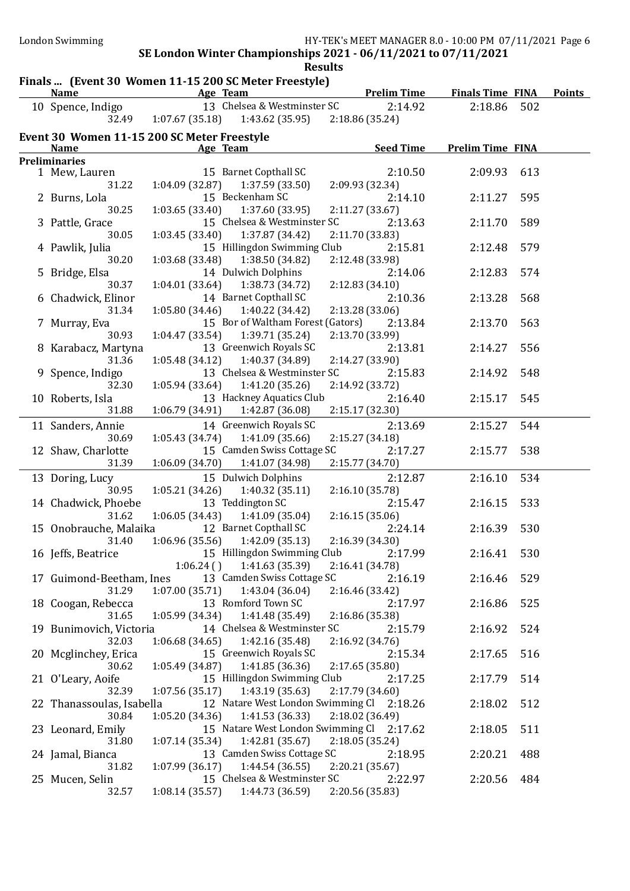| <b>Name</b>                                                | <b>Example 2016</b> Age Team | Finals  (Event 30 Women 11-15 200 SC Meter Freestyle) | <b>Prelim Time Finals Time FINA</b> |                         |     | <b>Points</b> |
|------------------------------------------------------------|------------------------------|-------------------------------------------------------|-------------------------------------|-------------------------|-----|---------------|
| 10 Spence, Indigo                                          |                              | 13 Chelsea & Westminster SC                           | 2:14.92                             | 2:18.86                 | 502 |               |
| 32.49                                                      |                              | $1:07.67(35.18)$ $1:43.62(35.95)$ $2:18.86(35.24)$    |                                     |                         |     |               |
| Event 30 Women 11-15 200 SC Meter Freestyle<br><b>Name</b> |                              | Age Team                                              | <b>Seed Time</b>                    | <b>Prelim Time FINA</b> |     |               |
| <b>Preliminaries</b>                                       |                              |                                                       |                                     |                         |     |               |
| 1 Mew, Lauren                                              |                              | 15 Barnet Copthall SC                                 | 2:10.50                             | 2:09.93                 | 613 |               |
| 31.22                                                      |                              | $1:04.09(32.87)$ $1:37.59(33.50)$                     | 2:09.93 (32.34)                     |                         |     |               |
| 2 Burns, Lola                                              |                              | 15 Beckenham SC                                       | 2:14.10                             | 2:11.27                 | 595 |               |
| 30.25                                                      |                              | $1:03.65(33.40)$ $1:37.60(33.95)$                     | 2:11.27 (33.67)                     |                         |     |               |
| 3 Pattle, Grace                                            |                              | 15 Chelsea & Westminster SC                           | 2:13.63                             | 2:11.70                 | 589 |               |
| 30.05                                                      |                              | $1:03.45(33.40)$ $1:37.87(34.42)$                     | 2:11.70 (33.83)                     |                         |     |               |
| 4 Pawlik, Julia                                            |                              | 15 Hillingdon Swimming Club                           | 2:15.81                             | 2:12.48                 | 579 |               |
| 30.20                                                      |                              | 1:03.68 (33.48) 1:38.50 (34.82)                       | 2:12.48 (33.98)                     |                         |     |               |
| 5 Bridge, Elsa                                             |                              | 14 Dulwich Dolphins                                   | 2:14.06                             | 2:12.83                 | 574 |               |
| 30.37                                                      |                              | $1:04.01(33.64)$ $1:38.73(34.72)$                     | 2:12.83(34.10)                      |                         |     |               |
| 6 Chadwick, Elinor                                         |                              | 14 Barnet Copthall SC                                 | 2:10.36                             | 2:13.28                 | 568 |               |
| 31.34                                                      |                              | $1:05.80(34.46)$ $1:40.22(34.42)$                     | 2:13.28 (33.06)                     |                         |     |               |
| 7 Murray, Eva                                              |                              | 15 Bor of Waltham Forest (Gators)                     | 2:13.84                             | 2:13.70                 | 563 |               |
| 30.93                                                      |                              | $1:04.47(33.54)$ $1:39.71(35.24)$                     | 2:13.70 (33.99)                     |                         |     |               |
| 8 Karabacz, Martyna                                        |                              | 13 Greenwich Royals SC                                | 2:13.81                             | 2:14.27                 | 556 |               |
| 31.36                                                      |                              | $1:05.48(34.12)$ $1:40.37(34.89)$                     | 2:14.27 (33.90)                     |                         |     |               |
| 9 Spence, Indigo                                           |                              | 13 Chelsea & Westminster SC                           | 2:15.83                             | 2:14.92                 | 548 |               |
| 32.30                                                      |                              | $1:05.94(33.64)$ $1:41.20(35.26)$                     | 2:14.92 (33.72)                     |                         |     |               |
| 10 Roberts, Isla                                           |                              | 13 Hackney Aquatics Club                              | 2:16.40                             | 2:15.17                 | 545 |               |
| 31.88                                                      |                              | $1:06.79(34.91)$ $1:42.87(36.08)$                     | 2:15.17 (32.30)                     |                         |     |               |
| 11 Sanders, Annie                                          |                              | 14 Greenwich Royals SC                                | 2:13.69                             | 2:15.27                 | 544 |               |
| 30.69                                                      |                              | $1:05.43(34.74)$ $1:41.09(35.66)$                     | 2:15.27 (34.18)                     |                         |     |               |
| 12 Shaw, Charlotte                                         |                              | 15 Camden Swiss Cottage SC                            | 2:17.27                             | 2:15.77                 | 538 |               |
| 31.39                                                      |                              | $1:06.09(34.70)$ $1:41.07(34.98)$                     | 2:15.77 (34.70)                     |                         |     |               |
| 13 Doring, Lucy                                            |                              | 15 Dulwich Dolphins                                   | 2:12.87                             | 2:16.10                 | 534 |               |
| 30.95                                                      |                              | $1:05.21(34.26)$ $1:40.32(35.11)$                     | 2:16.10(35.78)                      |                         |     |               |
| 14 Chadwick, Phoebe                                        |                              | 13 Teddington SC                                      | 2:15.47                             | 2:16.15                 | 533 |               |
| 31.62                                                      | 1:06.05(34.43)               | 1:41.09 (35.04)<br>12 Barnet Copthall SC              | 2:16.15(35.06)                      |                         |     |               |
| 15 Onobrauche, Malaika                                     | 1:06.96 (35.56)              | 1:42.09 (35.13)                                       | 2:24.14<br>2:16.39 (34.30)          | 2:16.39                 | 530 |               |
| 31.40<br>16 Jeffs, Beatrice                                |                              | 15 Hillingdon Swimming Club                           | 2:17.99                             | 2:16.41                 | 530 |               |
|                                                            | 1:06.24()                    | 1:41.63 (35.39)                                       | 2:16.41 (34.78)                     |                         |     |               |
| 17 Guimond-Beetham, Ines                                   |                              | 13 Camden Swiss Cottage SC                            | 2:16.19                             | 2:16.46                 | 529 |               |
| 31.29                                                      | 1:07.00(35.71)               | 1:43.04 (36.04)                                       | 2:16.46 (33.42)                     |                         |     |               |
| 18 Coogan, Rebecca                                         |                              | 13 Romford Town SC                                    | 2:17.97                             | 2:16.86                 | 525 |               |
| 31.65                                                      | 1:05.99 (34.34)              | 1:41.48 (35.49)                                       | 2:16.86 (35.38)                     |                         |     |               |
| 19 Bunimovich, Victoria                                    |                              | 14 Chelsea & Westminster SC                           | 2:15.79                             | 2:16.92                 | 524 |               |
| 32.03                                                      | 1:06.68(34.65)               | 1:42.16 (35.48)                                       | 2:16.92 (34.76)                     |                         |     |               |
| 20 Mcglinchey, Erica                                       |                              | 15 Greenwich Royals SC                                | 2:15.34                             | 2:17.65                 | 516 |               |
| 30.62                                                      | 1:05.49(34.87)               | 1:41.85(36.36)                                        | 2:17.65 (35.80)                     |                         |     |               |
| 21 O'Leary, Aoife                                          |                              | 15 Hillingdon Swimming Club                           | 2:17.25                             | 2:17.79                 | 514 |               |
| 32.39                                                      | 1:07.56(35.17)               | 1:43.19 (35.63)                                       | 2:17.79 (34.60)                     |                         |     |               |
| 22 Thanassoulas, Isabella                                  |                              | 12 Natare West London Swimming Cl 2:18.26             |                                     | 2:18.02                 | 512 |               |
| 30.84                                                      | 1:05.20(34.36)               | 1:41.53 (36.33)                                       | 2:18.02 (36.49)                     |                         |     |               |
| 23 Leonard, Emily                                          |                              | 15 Natare West London Swimming Cl 2:17.62             |                                     | 2:18.05                 | 511 |               |
| 31.80                                                      | 1:07.14(35.34)               | 1:42.81 (35.67)                                       | 2:18.05 (35.24)                     |                         |     |               |
| 24 Jamal, Bianca                                           |                              | 13 Camden Swiss Cottage SC                            | 2:18.95                             | 2:20.21                 | 488 |               |
| 31.82                                                      | 1:07.99(36.17)               | 1:44.54(36.55)                                        | 2:20.21 (35.67)                     |                         |     |               |
| 25 Mucen, Selin                                            |                              | 15 Chelsea & Westminster SC                           | 2:22.97                             | 2:20.56                 | 484 |               |
| 32.57                                                      | 1:08.14(35.57)               | 1:44.73 (36.59)                                       | 2:20.56 (35.83)                     |                         |     |               |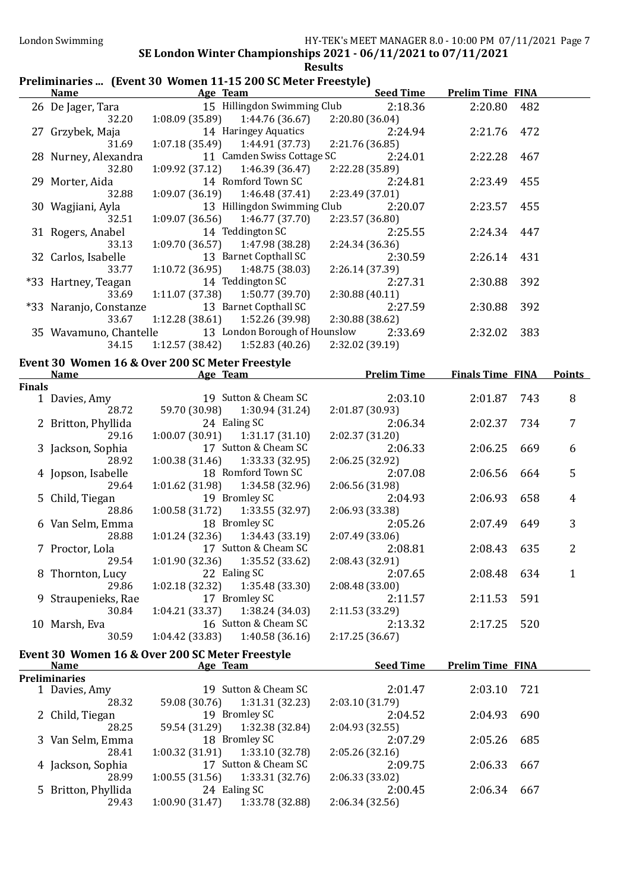# Preliminaries ... (Event 30 Women 11-15 200 SC Meter Freestyle)

| <b>Name</b>                                                  | Age Team         |                                                    | <u>Seed Time</u> |         | <b>Prelim Time FINA</b> |     |  |
|--------------------------------------------------------------|------------------|----------------------------------------------------|------------------|---------|-------------------------|-----|--|
| 26 De Jager, Tara                                            |                  | 15 Hillingdon Swimming Club                        | 2:18.36          |         | 2:20.80 482             |     |  |
| 32.20                                                        |                  | $1:08.09(35.89)$ $1:44.76(36.67)$ $2:20.80(36.04)$ |                  |         |                         |     |  |
| 27 Grzybek, Maja                                             |                  | 14 Haringey Aquatics                               |                  | 2:24.94 | 2:21.76                 | 472 |  |
| 31.69                                                        |                  | $1:07.18(35.49)$ $1:44.91(37.73)$ $2:21.76(36.85)$ |                  |         |                         |     |  |
| 28 Nurney, Alexandra                                         |                  | 11 Camden Swiss Cottage SC                         | 2:24.01          |         | 2:22.28                 | 467 |  |
| 32.80                                                        |                  | $1:09.92(37.12)$ $1:46.39(36.47)$                  | 2:22.28 (35.89)  |         |                         |     |  |
| 29 Morter, Aida                                              |                  | 14 Romford Town SC                                 |                  | 2:24.81 | 2:23.49                 | 455 |  |
| 32.88                                                        |                  | $1:09.07(36.19)$ $1:46.48(37.41)$                  | 2:23.49 (37.01)  |         |                         |     |  |
| 30 Wagjiani, Ayla                                            |                  | 13 Hillingdon Swimming Club                        | 2:20.07          |         | 2:23.57                 | 455 |  |
| 32.51                                                        |                  | $1:09.07(36.56)$ $1:46.77(37.70)$                  | 2:23.57(36.80)   |         |                         |     |  |
| 31 Rogers, Anabel                                            | 14 Teddington SC |                                                    |                  | 2:25.55 | 2:24.34 447             |     |  |
| 33.13                                                        |                  | $1:09.70(36.57)$ $1:47.98(38.28)$                  | 2:24.34(36.36)   |         |                         |     |  |
| 32 Carlos, Isabelle                                          |                  | 13 Barnet Copthall SC                              | 2:30.59          |         | 2:26.14 431             |     |  |
| 33.77                                                        |                  | $1:10.72(36.95)$ $1:48.75(38.03)$                  | 2:26.14(37.39)   |         |                         |     |  |
| *33 Hartney, Teagan 14 Teddington SC                         |                  |                                                    | 2:27.31          |         | 2:30.88                 | 392 |  |
| 33.69                                                        |                  | $1:11.07(37.38)$ $1:50.77(39.70)$                  | 2:30.88(40.11)   |         |                         |     |  |
| *33 Naranjo, Constanze 13 Barnet Copthall SC                 |                  |                                                    | 2:27.59          |         | 2:30.88                 | 392 |  |
| 33.67                                                        |                  | $1:12.28(38.61)$ $1:52.26(39.98)$                  | 2:30.88 (38.62)  |         |                         |     |  |
| 35 Wavamuno, Chantelle 13 London Borough of Hounslow 2:33.69 |                  |                                                    |                  |         | 2:32.02                 | 383 |  |
|                                                              |                  | 34.15   1:12.57 (38.42)   1:52.83 (40.26)          | 2:32.02 (39.19)  |         |                         |     |  |
|                                                              |                  |                                                    |                  |         |                         |     |  |

#### Event 30 Women 16 & Over 200 SC Meter Freestyle

|        | <b>Name</b>         | <b>Prelim Time</b><br><b>Finals Time FINA</b><br>Age Team |                 | <b>Points</b> |       |                |
|--------|---------------------|-----------------------------------------------------------|-----------------|---------------|-------|----------------|
| Finals |                     |                                                           |                 |               |       |                |
|        | 1 Davies, Amy       | 19 Sutton & Cheam SC                                      | 2:03.10         | 2:01.87       | 743   | 8              |
|        | 28.72               | 59.70 (30.98) 1:30.94 (31.24)                             | 2:01.87(30.93)  |               |       |                |
|        | 2 Britton, Phyllida | 24 Ealing SC                                              | 2:06.34         | 2:02.37       | 734   | 7              |
|        | 29.16               | $1:00.07(30.91)$ $1:31.17(31.10)$                         | 2:02.37(31.20)  |               |       |                |
|        | 3 Jackson, Sophia   | 17 Sutton & Cheam SC                                      | 2:06.33         | 2:06.25       | 669   | 6              |
|        | 28.92               | $1:00.38(31.46)$ $1:33.33(32.95)$                         | 2:06.25(32.92)  |               |       |                |
|        | 4 Jopson, Isabelle  | 18 Romford Town SC                                        | 2:07.08         | 2:06.56       | 664   | 5              |
|        | 29.64               | $1:01.62(31.98)$ $1:34.58(32.96)$                         | 2:06.56(31.98)  |               |       |                |
|        | 5 Child, Tiegan     | 19 Bromley SC                                             | 2:04.93         | 2:06.93       | 658   | 4              |
|        | 28.86               | $1:00.58(31.72)$ $1:33.55(32.97)$                         | 2:06.93 (33.38) |               |       |                |
|        | 6 Van Selm, Emma    | 18 Bromley SC                                             | 2:05.26         | 2:07.49       | 649   | 3              |
|        | 28.88               | $1:01.24(32.36)$ $1:34.43(33.19)$                         | 2:07.49(33.06)  |               |       |                |
|        | 7 Proctor, Lola     | 17 Sutton & Cheam SC                                      | 2:08.81         | 2:08.43 635   |       | $\overline{2}$ |
|        | 29.54               | $1:01.90(32.36)$ $1:35.52(33.62)$                         | 2:08.43(32.91)  |               |       |                |
|        | 8 Thornton, Lucy    | 22 Ealing SC                                              | 2:07.65         | 2:08.48       | 634   | 1              |
|        | 29.86               | $1:02.18(32.32)$ $1:35.48(33.30)$                         | 2:08.48(33.00)  |               |       |                |
|        | 9 Straupenieks, Rae | 17 Bromley SC                                             | 2:11.57         | 2:11.53       | - 591 |                |
|        | 30.84               | $1:04.21(33.37)$ $1:38.24(34.03)$                         | 2:11.53(33.29)  |               |       |                |
|        | 10 Marsh, Eva       | 16 Sutton & Cheam SC                                      | 2:13.32         | 2:17.25       | 520   |                |
|        | 30.59               | $1:04.42(33.83)$ $1:40.58(36.16)$                         | 2:17.25(36.67)  |               |       |                |

# Event 30 Women 16 & Over 200 SC Meter Freestyle

| Name                 | Age Team       |                      | <b>Seed Time</b> | <b>Prelim Time FINA</b> |     |
|----------------------|----------------|----------------------|------------------|-------------------------|-----|
| <b>Preliminaries</b> |                |                      |                  |                         |     |
| 1 Davies, Amy        |                | 19 Sutton & Cheam SC | 2:01.47          | 2:03.10                 | 721 |
| 28.32                | 59.08 (30.76)  | 1:31.31(32.23)       | 2:03.10(31.79)   |                         |     |
| 2 Child, Tiegan      |                | 19 Bromley SC        | 2:04.52          | 2:04.93                 | 690 |
| 28.25                | 59.54 (31.29)  | 1:32.38 (32.84)      | 2:04.93(32.55)   |                         |     |
| 3 Van Selm, Emma     |                | 18 Bromley SC        | 2:07.29          | 2:05.26                 | 685 |
| 28.41                | 1:00.32(31.91) | 1:33.10 (32.78)      | 2:05.26(32.16)   |                         |     |
| 4 Jackson, Sophia    |                | 17 Sutton & Cheam SC | 2:09.75          | 2:06.33                 | 667 |
| 28.99                | 1:00.55(31.56) | 1:33.31(32.76)       | 2:06.33(33.02)   |                         |     |
| 5 Britton, Phyllida  |                | 24 Ealing SC         | 2:00.45          | 2:06.34                 | 667 |
| 29.43                | 1:00.90(31.47) | 1:33.78 (32.88)      | 2:06.34(32.56)   |                         |     |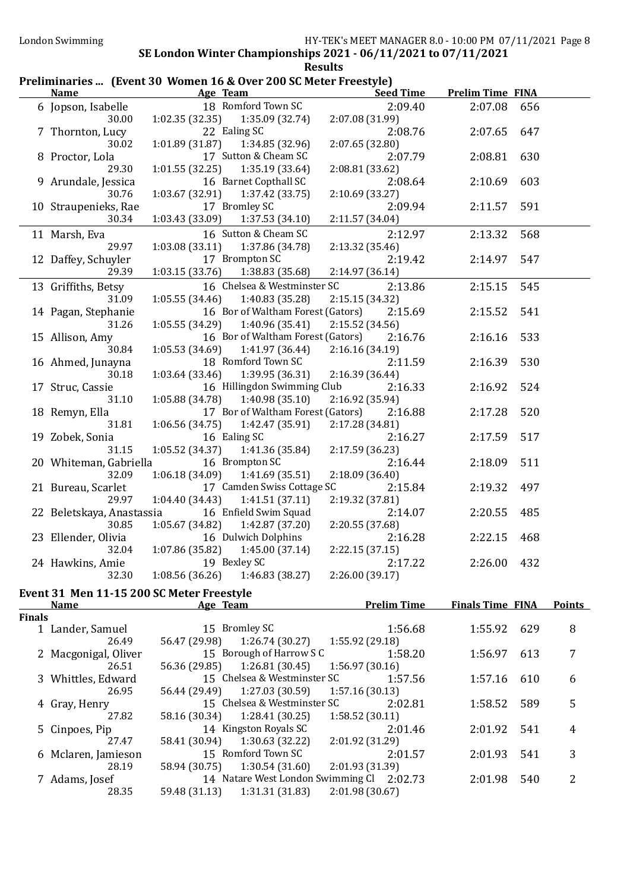#### Preliminaries ... (Event 30 Women 16 & Over 200 SC Meter Freestyle)

|        | <b>Name</b>               | Age Team                                                                     | <b>Seed Time</b>           | <b>Prelim Time FINA</b> |     |                |
|--------|---------------------------|------------------------------------------------------------------------------|----------------------------|-------------------------|-----|----------------|
|        | 6 Jopson, Isabelle        | 18 Romford Town SC                                                           | 2:09.40                    | 2:07.08                 | 656 |                |
|        | 30.00                     | 1:02.35(32.35)<br>1:35.09 (32.74)                                            | 2:07.08 (31.99)            |                         |     |                |
|        | 7 Thornton, Lucy          | 22 Ealing SC                                                                 | 2:08.76                    | 2:07.65                 | 647 |                |
|        | 30.02                     | 1:01.89(31.87)<br>1:34.85 (32.96)                                            | 2:07.65 (32.80)            |                         |     |                |
|        | 8 Proctor, Lola<br>29.30  | 17 Sutton & Cheam SC<br>1:01.55(32.25)<br>1:35.19 (33.64)                    | 2:07.79<br>2:08.81 (33.62) | 2:08.81                 | 630 |                |
|        | 9 Arundale, Jessica       | 16 Barnet Copthall SC                                                        | 2:08.64                    | 2:10.69                 | 603 |                |
|        | 30.76                     | 1:03.67(32.91)<br>1:37.42 (33.75)                                            | 2:10.69 (33.27)            |                         |     |                |
|        | 10 Straupenieks, Rae      | 17 Bromley SC                                                                | 2:09.94                    | 2:11.57                 | 591 |                |
|        | 30.34                     | 1:03.43 (33.09)<br>1:37.53 (34.10)                                           | 2:11.57 (34.04)            |                         |     |                |
|        | 11 Marsh, Eva             | 16 Sutton & Cheam SC                                                         | 2:12.97                    | 2:13.32                 | 568 |                |
|        | 29.97                     | 1:03.08(33.11)<br>1:37.86 (34.78)                                            | 2:13.32 (35.46)            |                         |     |                |
|        | 12 Daffey, Schuyler       | 17 Brompton SC                                                               | 2:19.42                    | 2:14.97                 | 547 |                |
|        | 29.39                     | 1:03.15(33.76)<br>1:38.83 (35.68)                                            | 2:14.97 (36.14)            |                         |     |                |
|        | 13 Griffiths, Betsy       | 16 Chelsea & Westminster SC                                                  | 2:13.86                    | 2:15.15                 | 545 |                |
|        | 31.09                     | 1:05.55(34.46)<br>1:40.83 (35.28)                                            | 2:15.15 (34.32)            |                         |     |                |
|        | 14 Pagan, Stephanie       | 16 Bor of Waltham Forest (Gators)                                            | 2:15.69                    | 2:15.52                 | 541 |                |
|        | 31.26                     | 1:40.96 (35.41)<br>1:05.55(34.29)                                            | 2:15.52 (34.56)            |                         |     |                |
|        | 15 Allison, Amy           | 16 Bor of Waltham Forest (Gators)                                            | 2:16.76                    | 2:16.16                 | 533 |                |
|        | 30.84                     | 1:05.53(34.69)<br>1:41.97 (36.44)                                            | 2:16.16(34.19)             |                         |     |                |
|        | 16 Ahmed, Junayna         | 18 Romford Town SC                                                           | 2:11.59                    | 2:16.39                 | 530 |                |
|        | 30.18                     | 1:03.64(33.46)<br>1:39.95 (36.31)                                            | 2:16.39(36.44)             |                         |     |                |
|        | 17 Struc, Cassie          | 16 Hillingdon Swimming Club                                                  | 2:16.33                    | 2:16.92                 | 524 |                |
|        | 31.10                     | 1:05.88(34.78)<br>1:40.98(35.10)<br>17 Bor of Waltham Forest (Gators)        | 2:16.92 (35.94)<br>2:16.88 | 2:17.28                 | 520 |                |
|        | 18 Remyn, Ella<br>31.81   | 1:42.47 (35.91)<br>1:06.56(34.75)                                            | 2:17.28 (34.81)            |                         |     |                |
|        | 19 Zobek, Sonia           | 16 Ealing SC                                                                 | 2:16.27                    | 2:17.59                 | 517 |                |
|        | 31.15                     | 1:05.52(34.37)<br>1:41.36 (35.84)                                            | 2:17.59 (36.23)            |                         |     |                |
|        | 20 Whiteman, Gabriella    | 16 Brompton SC                                                               | 2:16.44                    | 2:18.09                 | 511 |                |
|        | 32.09                     | 1:06.18(34.09)<br>1:41.69(35.51)                                             | 2:18.09 (36.40)            |                         |     |                |
|        | 21 Bureau, Scarlet        | 17 Camden Swiss Cottage SC                                                   | 2:15.84                    | 2:19.32                 | 497 |                |
|        | 29.97                     | 1:04.40(34.43)<br>1:41.51(37.11)                                             | 2:19.32 (37.81)            |                         |     |                |
|        | 22 Beletskaya, Anastassia | 16 Enfield Swim Squad                                                        | 2:14.07                    | 2:20.55                 | 485 |                |
|        | 30.85                     | 1:05.67(34.82)<br>1:42.87 (37.20)                                            | 2:20.55 (37.68)            |                         |     |                |
|        | 23 Ellender, Olivia       | 16 Dulwich Dolphins                                                          | 2:16.28                    | 2:22.15                 | 468 |                |
|        | 32.04                     | 1:07.86(35.82)<br>1:45.00(37.14)                                             | 2:22.15(37.15)             |                         |     |                |
|        | 24 Hawkins, Amie          | 19 Bexley SC                                                                 | 2:17.22                    | 2:26.00 432             |     |                |
|        | 32.30                     | $1:46.83(38.27)$ $2:26.00(39.17)$<br>1:08.56(36.26)                          |                            |                         |     |                |
|        |                           | Event 31 Men 11-15 200 SC Meter Freestyle                                    |                            |                         |     |                |
|        | <b>Name</b>               | Age Team                                                                     | <b>Prelim Time</b>         | <b>Finals Time FINA</b> |     | <b>Points</b>  |
| Finals | 1 Lander, Samuel          | 15 Bromley SC                                                                | 1:56.68                    | 1:55.92                 | 629 | 8              |
|        | 26.49                     | 56.47 (29.98)<br>1:26.74 (30.27)                                             | 1:55.92 (29.18)            |                         |     |                |
|        | 2 Macgonigal, Oliver      | 15 Borough of Harrow S C                                                     | 1:58.20                    | 1:56.97                 | 613 | 7              |
|        | 26.51                     | 56.36 (29.85) 1:26.81 (30.45)                                                | 1:56.97(30.16)             |                         |     |                |
|        | 3 Whittles, Edward        | 15 Chelsea & Westminster SC                                                  | 1:57.56                    | 1:57.16                 | 610 | 6              |
|        | 26.95                     | 56.44 (29.49) 1:27.03 (30.59)                                                | 1:57.16(30.13)             |                         |     |                |
|        | 4 Gray, Henry             | 15 Chelsea & Westminster SC                                                  | 2:02.81                    | 1:58.52                 | 589 | 5              |
|        | 27.82                     | 58.16 (30.34)<br>1:28.41 (30.25)                                             | 1:58.52(30.11)             |                         |     |                |
|        | 5 Cinpoes, Pip            | 14 Kingston Royals SC                                                        | 2:01.46                    | 2:01.92                 | 541 | 4              |
|        | 27.47                     | 1:30.63(32.22)<br>58.41 (30.94)                                              | 2:01.92 (31.29)            |                         |     |                |
|        | 6 Mclaren, Jamieson       | 15 Romford Town SC                                                           | 2:01.57                    | 2:01.93                 | 541 | 3              |
|        | 28.19<br>7 Adams, Josef   | 1:30.54(31.60)<br>58.94 (30.75)<br>14 Natare West London Swimming Cl 2:02.73 | 2:01.93 (31.39)            | 2:01.98                 | 540 | $\overline{2}$ |
|        | 28.35                     | 59.48 (31.13)<br>1:31.31 (31.83)                                             | 2:01.98(30.67)             |                         |     |                |
|        |                           |                                                                              |                            |                         |     |                |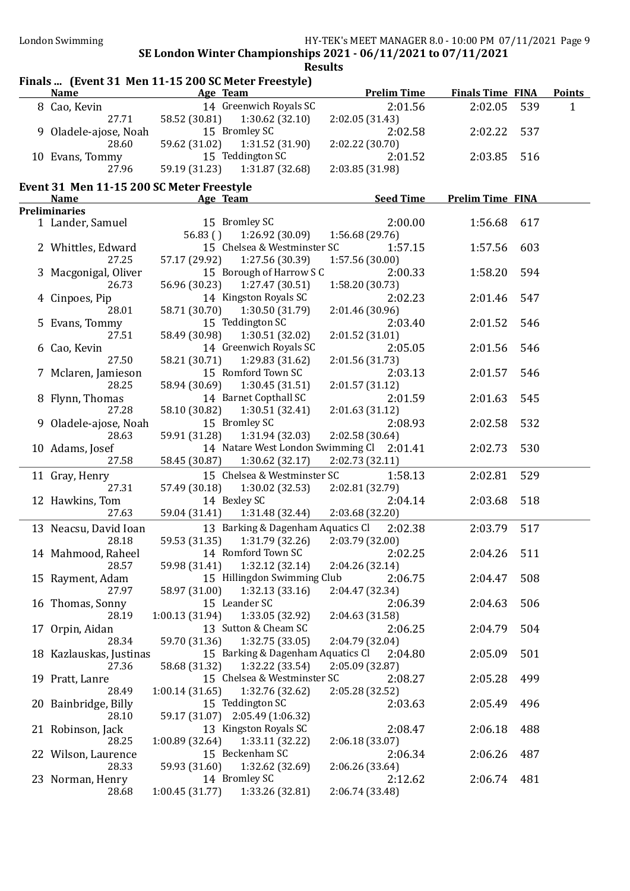| Finals  (Event 31 Men 11-15 200 SC Meter Freestyle)<br><b>Name</b> |                | Age Team                                  | <b>Prelim Time</b>         | <b>Finals Time FINA</b> |     | <b>Points</b> |
|--------------------------------------------------------------------|----------------|-------------------------------------------|----------------------------|-------------------------|-----|---------------|
| 8 Cao, Kevin                                                       |                | 14 Greenwich Royals SC                    | 2:01.56                    | 2:02.05                 | 539 | $\mathbf{1}$  |
| 27.71                                                              |                | 58.52 (30.81) 1:30.62 (32.10)             | 2:02.05 (31.43)            |                         |     |               |
| 9 Oladele-ajose, Noah                                              |                | 15 Bromley SC                             | 2:02.58                    | 2:02.22                 | 537 |               |
| 28.60                                                              | 59.62 (31.02)  | 1:31.52(31.90)                            | 2:02.22 (30.70)            |                         |     |               |
| 10 Evans, Tommy                                                    |                | 15 Teddington SC                          | 2:01.52                    | 2:03.85                 | 516 |               |
| 27.96                                                              | 59.19 (31.23)  | 1:31.87 (32.68)                           | 2:03.85 (31.98)            |                         |     |               |
| Event 31 Men 11-15 200 SC Meter Freestyle                          |                |                                           |                            |                         |     |               |
| <b>Name</b>                                                        |                | Age Team                                  | <b>Seed Time</b>           | <b>Prelim Time FINA</b> |     |               |
| <b>Preliminaries</b>                                               |                |                                           |                            |                         |     |               |
| 1 Lander, Samuel                                                   |                | 15 Bromley SC                             | 2:00.00                    | 1:56.68                 | 617 |               |
|                                                                    | 56.83()        | 1:26.92 (30.09)                           | 1:56.68 (29.76)            |                         |     |               |
| 2 Whittles, Edward                                                 |                | 15 Chelsea & Westminster SC               | 1:57.15                    | 1:57.56                 | 603 |               |
| 27.25                                                              | 57.17 (29.92)  | 1:27.56 (30.39)                           | 1:57.56(30.00)             |                         |     |               |
| 3 Macgonigal, Oliver                                               |                | 15 Borough of Harrow S C                  | 2:00.33                    | 1:58.20                 | 594 |               |
| 26.73                                                              | 56.96 (30.23)  | 1:27.47(30.51)                            | 1:58.20 (30.73)            |                         |     |               |
| 4 Cinpoes, Pip                                                     |                | 14 Kingston Royals SC                     | 2:02.23                    | 2:01.46                 | 547 |               |
| 28.01                                                              | 58.71 (30.70)  | 1:30.50 (31.79)                           | 2:01.46 (30.96)            |                         |     |               |
| 5 Evans, Tommy                                                     |                | 15 Teddington SC                          | 2:03.40                    | 2:01.52                 | 546 |               |
| 27.51                                                              | 58.49 (30.98)  | 1:30.51 (32.02)                           | 2:01.52 (31.01)            |                         |     |               |
| 6 Cao, Kevin                                                       |                | 14 Greenwich Royals SC                    | 2:05.05                    | 2:01.56                 | 546 |               |
| 27.50                                                              | 58.21 (30.71)  | 1:29.83 (31.62)                           | 2:01.56 (31.73)            |                         |     |               |
| 7 Mclaren, Jamieson                                                |                | 15 Romford Town SC                        | 2:03.13                    | 2:01.57                 | 546 |               |
| 28.25                                                              | 58.94 (30.69)  | 1:30.45(31.51)                            | 2:01.57(31.12)             |                         |     |               |
| 8 Flynn, Thomas<br>27.28                                           |                | 14 Barnet Copthall SC                     | 2:01.59                    | 2:01.63                 | 545 |               |
|                                                                    | 58.10 (30.82)  | 1:30.51 (32.41)<br>15 Bromley SC          | 2:01.63(31.12)             |                         |     |               |
| 9 Oladele-ajose, Noah<br>28.63                                     | 59.91 (31.28)  | 1:31.94 (32.03)                           | 2:08.93<br>2:02.58(30.64)  | 2:02.58                 | 532 |               |
| 10 Adams, Josef                                                    |                | 14 Natare West London Swimming Cl 2:01.41 |                            | 2:02.73                 | 530 |               |
| 27.58                                                              | 58.45 (30.87)  | 1:30.62(32.17)                            | 2:02.73(32.11)             |                         |     |               |
|                                                                    |                | 15 Chelsea & Westminster SC               |                            |                         |     |               |
| 11 Gray, Henry<br>27.31                                            | 57.49 (30.18)  |                                           | 1:58.13<br>2:02.81 (32.79) | 2:02.81                 | 529 |               |
| 12 Hawkins, Tom                                                    |                | 1:30.02(32.53)<br>14 Bexley SC            | 2:04.14                    | 2:03.68                 | 518 |               |
| 27.63                                                              | 59.04 (31.41)  | 1:31.48 (32.44)                           | 2:03.68 (32.20)            |                         |     |               |
|                                                                    |                | 13 Barking & Dagenham Aquatics Cl         |                            |                         |     |               |
| 13 Neacsu, David Ioan                                              |                |                                           | 2:02.38                    | 2:03.79                 | 517 |               |
| 28.18<br>14 Mahmood, Raheel                                        | 59.53 (31.35)  | 1:31.79(32.26)<br>14 Romford Town SC      | 2:03.79 (32.00)<br>2:02.25 | 2:04.26 511             |     |               |
| 28.57                                                              | 59.98 (31.41)  | 1:32.12 (32.14)                           | 2:04.26(32.14)             |                         |     |               |
| 15 Rayment, Adam                                                   |                | 15 Hillingdon Swimming Club               | 2:06.75                    | 2:04.47                 | 508 |               |
| 27.97                                                              | 58.97 (31.00)  | 1:32.13(33.16)                            | 2:04.47 (32.34)            |                         |     |               |
| 16 Thomas, Sonny                                                   |                | 15 Leander SC                             | 2:06.39                    | 2:04.63                 | 506 |               |
| 28.19                                                              | 1:00.13(31.94) | 1:33.05 (32.92)                           | 2:04.63 (31.58)            |                         |     |               |
| 17 Orpin, Aidan                                                    |                | 13 Sutton & Cheam SC                      | 2:06.25                    | 2:04.79                 | 504 |               |
| 28.34                                                              | 59.70 (31.36)  | 1:32.75 (33.05)                           | 2:04.79 (32.04)            |                         |     |               |
| 18 Kazlauskas, Justinas                                            |                | 15 Barking & Dagenham Aquatics Cl         | 2:04.80                    | 2:05.09                 | 501 |               |
| 27.36                                                              | 58.68 (31.32)  | 1:32.22 (33.54)                           | 2:05.09 (32.87)            |                         |     |               |
| 19 Pratt, Lanre                                                    |                | 15 Chelsea & Westminster SC               | 2:08.27                    | 2:05.28                 | 499 |               |
| 28.49                                                              | 1:00.14(31.65) | 1:32.76 (32.62)                           | 2:05.28 (32.52)            |                         |     |               |
| 20 Bainbridge, Billy                                               |                | 15 Teddington SC                          | 2:03.63                    | 2:05.49                 | 496 |               |
| 28.10                                                              |                | 59.17 (31.07) 2:05.49 (1:06.32)           |                            |                         |     |               |
| 21 Robinson, Jack                                                  |                | 13 Kingston Royals SC                     | 2:08.47                    | 2:06.18                 | 488 |               |
| 28.25                                                              |                | $1:00.89(32.64)$ $1:33.11(32.22)$         | 2:06.18 (33.07)            |                         |     |               |
| 22 Wilson, Laurence                                                |                | 15 Beckenham SC                           | 2:06.34                    | 2:06.26                 | 487 |               |
| 28.33                                                              | 59.93 (31.60)  | 1:32.62 (32.69)                           | 2:06.26 (33.64)            |                         |     |               |
| 23 Norman, Henry                                                   |                | 14 Bromley SC                             | 2:12.62                    | 2:06.74                 | 481 |               |
| 28.68                                                              |                | $1:00.45(31.77)$ $1:33.26(32.81)$         | 2:06.74 (33.48)            |                         |     |               |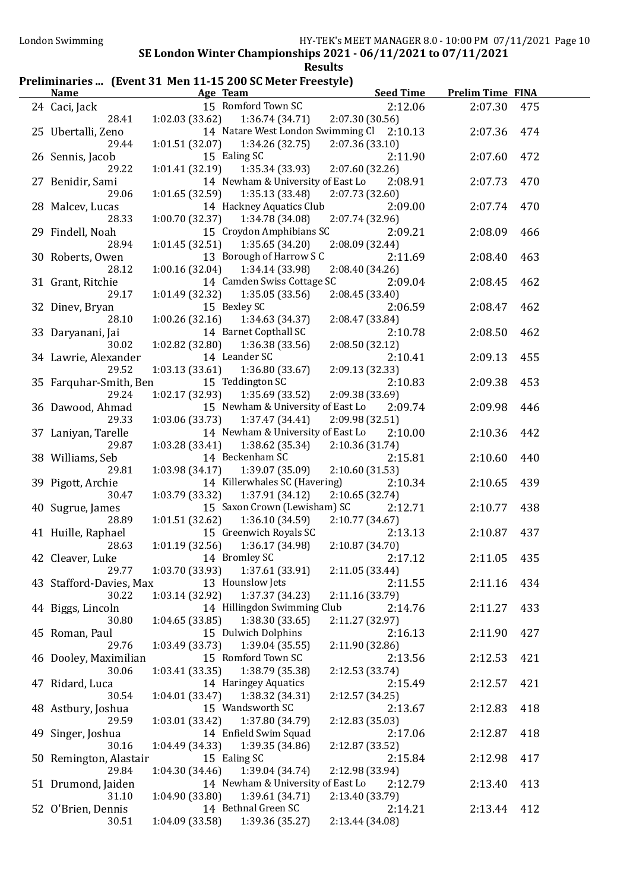# Preliminaries ... (Event 31 Men 11-15 200 SC Meter Freestyle)

| <b>Name</b>               | Age Team                                                          | <b>Seed Time</b>           | <b>Prelim Time FINA</b> |     |
|---------------------------|-------------------------------------------------------------------|----------------------------|-------------------------|-----|
| 24 Caci, Jack             | 15 Romford Town SC                                                | 2:12.06                    | 2:07.30                 | 475 |
| 28.41                     | 1:02.03(33.62)<br>1:36.74(34.71)                                  | 2:07.30 (30.56)            |                         |     |
| 25 Ubertalli, Zeno        | 14 Natare West London Swimming Cl 2:10.13                         |                            | 2:07.36                 | 474 |
| 29.44                     | 1:34.26(32.75)<br>1:01.51(32.07)                                  | 2:07.36(33.10)             |                         |     |
| 26 Sennis, Jacob          | 15 Ealing SC                                                      | 2:11.90                    | 2:07.60                 | 472 |
| 29.22                     | 1:01.41 (32.19)<br>1:35.34 (33.93)                                | 2:07.60 (32.26)            |                         |     |
| 27 Benidir, Sami          | 14 Newham & University of East Lo                                 | 2:08.91                    | 2:07.73                 | 470 |
| 29.06                     | 1:01.65 (32.59)<br>1:35.13 (33.48)                                | 2:07.73 (32.60)            |                         |     |
| 28 Malcev, Lucas          | 14 Hackney Aquatics Club                                          | 2:09.00                    | 2:07.74                 | 470 |
| 28.33                     | 1:34.78 (34.08)<br>1:00.70(32.37)                                 | 2:07.74 (32.96)            |                         |     |
| 29 Findell, Noah          | 15 Croydon Amphibians SC                                          | 2:09.21                    | 2:08.09                 | 466 |
| 28.94                     | 1:01.45 (32.51)<br>1:35.65 (34.20)                                | 2:08.09 (32.44)            |                         |     |
| 30 Roberts, Owen          | 13 Borough of Harrow S C                                          | 2:11.69                    | 2:08.40                 | 463 |
| 28.12                     | 1:34.14 (33.98)<br>1:00.16(32.04)                                 | 2:08.40 (34.26)            |                         |     |
| 31 Grant, Ritchie         | 14 Camden Swiss Cottage SC                                        | 2:09.04                    | 2:08.45                 | 462 |
| 29.17                     | 1:35.05(33.56)<br>1:01.49(32.32)                                  | 2:08.45 (33.40)            |                         |     |
| 32 Dinev, Bryan           | 15 Bexley SC                                                      | 2:06.59                    | 2:08.47                 | 462 |
| 28.10                     | 1:00.26(32.16)<br>1:34.63 (34.37)                                 | 2:08.47 (33.84)            |                         |     |
| 33 Daryanani, Jai         | 14 Barnet Copthall SC                                             | 2:10.78                    | 2:08.50                 | 462 |
| 30.02                     | 1:02.82 (32.80)<br>1:36.38(33.56)                                 | 2:08.50 (32.12)            |                         |     |
| 34 Lawrie, Alexander      | 14 Leander SC                                                     | 2:10.41                    | 2:09.13                 | 455 |
| 29.52                     | 1:03.13(33.61)<br>1:36.80(33.67)                                  | 2:09.13 (32.33)            |                         |     |
| 35 Farquhar-Smith, Ben    | 15 Teddington SC                                                  | 2:10.83                    | 2:09.38                 | 453 |
| 29.24                     | 1:35.69 (33.52)<br>1:02.17(32.93)                                 | 2:09.38 (33.69)            |                         |     |
| 36 Dawood, Ahmad          | 15 Newham & University of East Lo                                 | 2:09.74                    | 2:09.98                 | 446 |
| 29.33                     | 1:37.47(34.41)<br>1:03.06(33.73)                                  | 2:09.98 (32.51)            |                         |     |
| 37 Laniyan, Tarelle       | 14 Newham & University of East Lo                                 | 2:10.00                    | 2:10.36                 | 442 |
| 29.87                     | 1:38.62(35.34)<br>1:03.28(33.41)                                  | 2:10.36 (31.74)            |                         |     |
| 38 Williams, Seb          | 14 Beckenham SC                                                   | 2:15.81                    | 2:10.60                 | 440 |
| 29.81                     | 1:03.98 (34.17)<br>1:39.07 (35.09)                                | 2:10.60(31.53)             |                         |     |
| 39 Pigott, Archie         | 14 Killerwhales SC (Havering)                                     | 2:10.34                    | 2:10.65                 | 439 |
| 30.47                     | 1:03.79 (33.32)<br>1:37.91(34.12)<br>15 Saxon Crown (Lewisham) SC | 2:10.65 (32.74)<br>2:12.71 | 2:10.77                 |     |
| 40 Sugrue, James<br>28.89 | 1:01.51(32.62)<br>1:36.10(34.59)                                  |                            |                         | 438 |
| 41 Huille, Raphael        | 15 Greenwich Royals SC                                            | 2:10.77 (34.67)<br>2:13.13 | 2:10.87                 | 437 |
| 28.63                     | 1:01.19(32.56)<br>1:36.17(34.98)                                  | 2:10.87 (34.70)            |                         |     |
| 42 Cleaver, Luke          | 14 Bromley SC                                                     | 2:17.12                    | 2:11.05                 | 435 |
| 29.77                     | $1:03.70(33.93)$ $1:37.61(33.91)$                                 | 2:11.05 (33.44)            |                         |     |
| 43 Stafford-Davies, Max   | 13 Hounslow Jets                                                  | 2:11.55                    | 2:11.16 434             |     |
| 30.22                     | 1:37.37 (34.23)<br>1:03.14(32.92)                                 | 2:11.16 (33.79)            |                         |     |
| 44 Biggs, Lincoln         | 14 Hillingdon Swimming Club                                       | 2:14.76                    | 2:11.27                 | 433 |
| 30.80                     | 1:04.65(33.85)<br>1:38.30(33.65)                                  | 2:11.27 (32.97)            |                         |     |
| 45 Roman, Paul            | 15 Dulwich Dolphins                                               | 2:16.13                    | 2:11.90                 | 427 |
| 29.76                     | 1:39.04(35.55)<br>1:03.49 (33.73)                                 | 2:11.90 (32.86)            |                         |     |
| 46 Dooley, Maximilian     | 15 Romford Town SC                                                | 2:13.56                    | 2:12.53                 | 421 |
| 30.06                     | 1:38.79 (35.38)<br>1:03.41(33.35)                                 | 2:12.53 (33.74)            |                         |     |
| 47 Ridard, Luca           | 14 Haringey Aquatics                                              | 2:15.49                    | 2:12.57                 | 421 |
| 30.54                     | 1:38.32 (34.31)<br>1:04.01(33.47)                                 | 2:12.57 (34.25)            |                         |     |
| 48 Astbury, Joshua        | 15 Wandsworth SC                                                  | 2:13.67                    | 2:12.83                 | 418 |
| 29.59                     | 1:37.80 (34.79)<br>1:03.01(33.42)                                 | 2:12.83 (35.03)            |                         |     |
| 49 Singer, Joshua         | 14 Enfield Swim Squad                                             | 2:17.06                    | 2:12.87                 | 418 |
| 30.16                     | 1:39.35 (34.86)<br>1:04.49(34.33)                                 | 2:12.87 (33.52)            |                         |     |
| 50 Remington, Alastair    | 15 Ealing SC                                                      | 2:15.84                    | 2:12.98                 | 417 |
| 29.84                     | 1:39.04 (34.74)<br>1:04.30(34.46)                                 | 2:12.98 (33.94)            |                         |     |
| 51 Drumond, Jaiden        | 14 Newham & University of East Lo                                 | 2:12.79                    | 2:13.40                 | 413 |
| 31.10                     | $1:04.90(33.80)$ $1:39.61(34.71)$                                 | 2:13.40 (33.79)            |                         |     |
| 52 O'Brien, Dennis        | 14 Bethnal Green SC                                               | 2:14.21                    | 2:13.44                 | 412 |
| 30.51                     | 1:04.09(33.58)<br>1:39.36 (35.27)                                 | 2:13.44 (34.08)            |                         |     |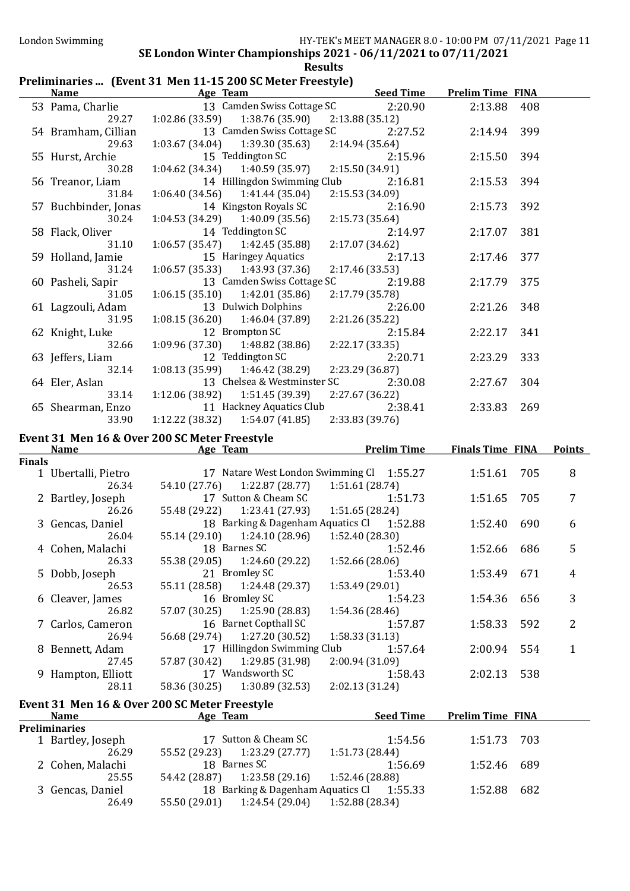# Preliminaries ... (Event 31 Men 11-15 200 SC Meter Freestyle)

|               | <b>Name</b>                  | Age Team and the state of the state of the state of the state of the state of the state of the state of the state of the state of the state of the state of the state of the state of the state of the state of the state of t | Seed Time                     | <b>Prelim Time FINA</b> |     |                |
|---------------|------------------------------|--------------------------------------------------------------------------------------------------------------------------------------------------------------------------------------------------------------------------------|-------------------------------|-------------------------|-----|----------------|
|               | 53 Pama, Charlie             | 13 Camden Swiss Cottage SC                                                                                                                                                                                                     | 2:20.90                       | 2:13.88                 | 408 |                |
|               | 29.27                        | $1:02.86(33.59)$ $1:38.76(35.90)$                                                                                                                                                                                              | 2:13.88 (35.12)               |                         |     |                |
|               | 54 Bramham, Cillian<br>29.63 | 13 Camden Swiss Cottage SC<br>$1:03.67$ (34.04) $1:39.30$ (35.63)                                                                                                                                                              | 2:27.52<br>2:14.94 (35.64)    | 2:14.94                 | 399 |                |
|               | 55 Hurst, Archie             | 15 Teddington SC                                                                                                                                                                                                               | 2:15.96                       | 2:15.50                 | 394 |                |
|               | 30.28                        | $1:04.62$ (34.34) $1:40.59$ (35.97)                                                                                                                                                                                            | 2:15.50 (34.91)               |                         |     |                |
|               | 56 Treanor, Liam             | 14 Hillingdon Swimming Club                                                                                                                                                                                                    | 2:16.81                       | 2:15.53                 | 394 |                |
|               | 31.84                        | $1:06.40(34.56)$ $1:41.44(35.04)$                                                                                                                                                                                              | 2:15.53 (34.09)               |                         |     |                |
|               | 57 Buchbinder, Jonas         | 14 Kingston Royals SC                                                                                                                                                                                                          | 2:16.90                       | 2:15.73                 | 392 |                |
|               | 30.24                        | $1:04.53(34.29)$ $1:40.09(35.56)$<br>14 Teddington SC                                                                                                                                                                          | 2:15.73 (35.64)               |                         |     |                |
|               | 58 Flack, Oliver<br>31.10    | $1:06.57(35.47)$ $1:42.45(35.88)$                                                                                                                                                                                              | 2:14.97<br>2:17.07 (34.62)    | 2:17.07                 | 381 |                |
|               | 59 Holland, Jamie            | 15 Haringey Aquatics                                                                                                                                                                                                           | 2:17.13                       | 2:17.46                 | 377 |                |
|               | 31.24                        | $1:06.57(35.33)$ $1:43.93(37.36)$                                                                                                                                                                                              | 2:17.46 (33.53)               |                         |     |                |
|               | 60 Pasheli, Sapir            | 13 Camden Swiss Cottage SC                                                                                                                                                                                                     | 2:19.88                       | 2:17.79                 | 375 |                |
|               | 31.05                        | 1:06.15(35.10)<br>1:42.01 (35.86)                                                                                                                                                                                              | 2:17.79 (35.78)               |                         |     |                |
|               | 61 Lagzouli, Adam            | 13 Dulwich Dolphins                                                                                                                                                                                                            | 2:26.00                       | 2:21.26                 | 348 |                |
|               | 31.95                        | $1:08.15(36.20)$ $1:46.04(37.89)$                                                                                                                                                                                              | 2:21.26 (35.22)               |                         |     |                |
|               | 62 Knight, Luke              | 12 Brompton SC<br>$1:09.96(37.30)$ $1:48.82(38.86)$                                                                                                                                                                            | 2:15.84<br>2:22.17 (33.35)    | 2:22.17                 | 341 |                |
|               | 32.66<br>63 Jeffers, Liam    | 12 Teddington SC                                                                                                                                                                                                               | 2:20.71                       | 2:23.29                 | 333 |                |
|               | 32.14                        | $1:08.13(35.99)$ $1:46.42(38.29)$                                                                                                                                                                                              | 2:23.29 (36.87)               |                         |     |                |
|               | 64 Eler, Aslan               | 13 Chelsea & Westminster SC                                                                                                                                                                                                    | 2:30.08                       | 2:27.67                 | 304 |                |
|               | 33.14                        | $1:12.06(38.92)$ $1:51.45(39.39)$                                                                                                                                                                                              | 2:27.67 (36.22)               |                         |     |                |
|               | 65 Shearman, Enzo            | 11 Hackney Aquatics Club                                                                                                                                                                                                       | 2:38.41                       | 2:33.83                 | 269 |                |
|               | 33.90                        | $1:12.22$ (38.32) $1:54.07$ (41.85)                                                                                                                                                                                            | 2:33.83 (39.76)               |                         |     |                |
|               |                              | Event 31 Men 16 & Over 200 SC Meter Freestyle                                                                                                                                                                                  |                               |                         |     |                |
|               | <b>Name</b>                  | <b>Example 2016</b> Age Team                                                                                                                                                                                                   | <b>Example 12 Prelim Time</b> | <b>Finals Time FINA</b> |     | <b>Points</b>  |
|               |                              |                                                                                                                                                                                                                                |                               |                         |     |                |
| <b>Finals</b> |                              |                                                                                                                                                                                                                                |                               |                         |     |                |
|               | 1 Ubertalli, Pietro          | 17 Natare West London Swimming Cl 1:55.27                                                                                                                                                                                      |                               | 1:51.61                 | 705 | 8              |
|               | 26.34                        | 54.10 (27.76)<br>$1:22.87(28.77)$ $1:51.61(28.74)$                                                                                                                                                                             |                               |                         |     |                |
|               | 2 Bartley, Joseph            | 17 Sutton & Cheam SC                                                                                                                                                                                                           | 1:51.73                       | 1:51.65                 | 705 | 7              |
|               | 26.26                        | 1:23.41 (27.93)<br>55.48 (29.22)                                                                                                                                                                                               | 1:51.65 (28.24)               |                         |     |                |
|               | 3 Gencas, Daniel<br>26.04    | 18 Barking & Dagenham Aquatics Cl 1:52.88<br>55.14 (29.10)<br>1:24.10 (28.96) 1:52.40 (28.30)                                                                                                                                  |                               | 1:52.40                 | 690 | 6              |
|               | 4 Cohen, Malachi             | 18 Barnes SC                                                                                                                                                                                                                   | 1:52.46                       | 1:52.66                 | 686 | 5              |
|               | 26.33                        | 55.38 (29.05) 1:24.60 (29.22)                                                                                                                                                                                                  | 1:52.66 (28.06)               |                         |     |                |
|               | 5 Dobb, Joseph               | 21 Bromley SC                                                                                                                                                                                                                  | 1:53.40                       | 1:53.49                 | 671 | 4              |
|               | 26.53                        | 55.11 (28.58)<br>1:24.48 (29.37)                                                                                                                                                                                               | 1:53.49 (29.01)               |                         |     |                |
|               | 6 Cleaver, James             | 16 Bromley SC                                                                                                                                                                                                                  | 1:54.23                       | 1:54.36                 | 656 | 3              |
|               | 26.82                        | 57.07 (30.25)<br>1:25.90 (28.83)                                                                                                                                                                                               | 1:54.36 (28.46)               |                         |     |                |
|               | 7 Carlos, Cameron            | 16 Barnet Copthall SC                                                                                                                                                                                                          | 1:57.87                       | 1:58.33                 | 592 | $\overline{2}$ |
|               | 26.94                        | 1:27.20 (30.52)<br>56.68 (29.74)                                                                                                                                                                                               | 1:58.33(31.13)                |                         |     |                |
|               | 8 Bennett, Adam<br>27.45     | 17 Hillingdon Swimming Club<br>1:29.85 (31.98)<br>57.87 (30.42)                                                                                                                                                                | 1:57.64<br>2:00.94 (31.09)    | 2:00.94                 | 554 | $\mathbf{1}$   |
|               | 9 Hampton, Elliott           | 17 Wandsworth SC                                                                                                                                                                                                               | 1:58.43                       | 2:02.13                 | 538 |                |
|               | 28.11                        | 1:30.89 (32.53)<br>58.36 (30.25)                                                                                                                                                                                               | 2:02.13 (31.24)               |                         |     |                |
|               |                              | Event 31 Men 16 & Over 200 SC Meter Freestyle                                                                                                                                                                                  |                               |                         |     |                |
|               | <b>Name</b>                  | Age Team                                                                                                                                                                                                                       | <b>Seed Time</b>              | <b>Prelim Time FINA</b> |     |                |
|               | <b>Preliminaries</b>         |                                                                                                                                                                                                                                |                               |                         |     |                |
|               | 1 Bartley, Joseph            | 17 Sutton & Cheam SC                                                                                                                                                                                                           | 1:54.56                       | 1:51.73                 | 703 |                |
|               | 26.29                        | 1:23.29(27.77)<br>55.52 (29.23)                                                                                                                                                                                                | 1:51.73 (28.44)               |                         |     |                |
|               | 2 Cohen, Malachi             | 18 Barnes SC                                                                                                                                                                                                                   | 1:56.69                       | 1:52.46                 | 689 |                |
|               | 25.55                        | 1:23.58(29.16)<br>54.42 (28.87)                                                                                                                                                                                                | 1:52.46 (28.88)               |                         |     |                |
|               | 3 Gencas, Daniel<br>26.49    | 18 Barking & Dagenham Aquatics Cl<br>55.50 (29.01)<br>1:24.54 (29.04)                                                                                                                                                          | 1:55.33<br>1:52.88 (28.34)    | 1:52.88                 | 682 |                |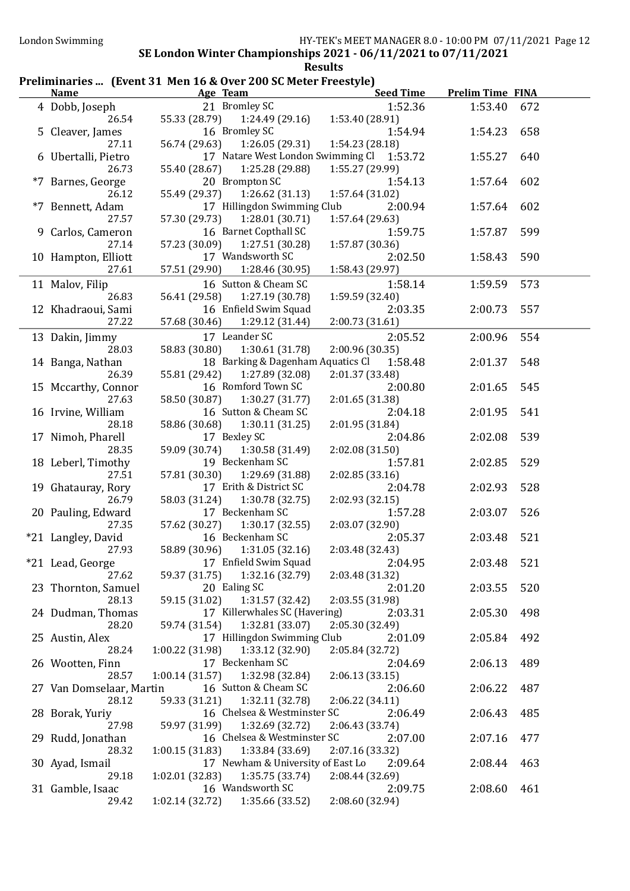# Preliminaries ... (Event 31 Men 16 & Over 200 SC Meter Freestyle)

|                          | Name Age Team                                 |                 | Seed Time Prelim Time FINA |     |
|--------------------------|-----------------------------------------------|-----------------|----------------------------|-----|
| 4 Dobb, Joseph           | 21 Bromley SC                                 | 1:52.36         | 1:53.40                    | 672 |
| 26.54                    | 55.33 (28.79) 1:24.49 (29.16) 1:53.40 (28.91) |                 |                            |     |
| 5 Cleaver, James         | 16 Bromley SC                                 | 1:54.94         | 1:54.23                    | 658 |
| 27.11                    | 56.74 (29.63)<br>1:26.05 (29.31)              | 1:54.23 (28.18) |                            |     |
| 6 Ubertalli, Pietro      | 17 Natare West London Swimming Cl 1:53.72     |                 | 1:55.27                    | 640 |
| 26.73                    | 1:25.28 (29.88)<br>55.40 (28.67)              | 1:55.27 (29.99) |                            |     |
| *7 Barnes, George        | 20 Brompton SC                                | 1:54.13         | 1:57.64                    | 602 |
| 26.12                    | 55.49 (29.37)<br>1:26.62(31.13)               | 1:57.64 (31.02) |                            |     |
| *7 Bennett, Adam         | 17 Hillingdon Swimming Club                   | 2:00.94         | 1:57.64                    | 602 |
| 27.57                    | 1:28.01 (30.71)<br>57.30 (29.73)              | 1:57.64 (29.63) |                            |     |
| 9 Carlos, Cameron        | 16 Barnet Copthall SC                         | 1:59.75         | 1:57.87                    | 599 |
| 27.14                    | 57.23 (30.09)<br>1:27.51 (30.28)              | 1:57.87 (30.36) |                            |     |
| 10 Hampton, Elliott      | 17 Wandsworth SC                              | 2:02.50         | 1:58.43                    | 590 |
| 27.61                    | 57.51 (29.90) 1:28.46 (30.95)                 | 1:58.43 (29.97) |                            |     |
| 11 Malov, Filip          | 16 Sutton & Cheam SC                          | 1:58.14         | 1:59.59                    | 573 |
| 26.83                    | 56.41 (29.58)<br>1:27.19 (30.78)              | 1:59.59 (32.40) |                            |     |
| 12 Khadraoui, Sami       | 16 Enfield Swim Squad                         | 2:03.35         | 2:00.73                    | 557 |
| 27.22                    | 1:29.12 (31.44)<br>57.68 (30.46)              | 2:00.73(31.61)  |                            |     |
| 13 Dakin, Jimmy          | 17 Leander SC                                 | 2:05.52         | 2:00.96                    | 554 |
| 28.03                    | 58.83 (30.80) 1:30.61 (31.78)                 | 2:00.96 (30.35) |                            |     |
| 14 Banga, Nathan         | 18 Barking & Dagenham Aquatics Cl 1:58.48     |                 | 2:01.37                    | 548 |
| 26.39                    | 55.81 (29.42)<br>1:27.89 (32.08)              | 2:01.37 (33.48) |                            |     |
| 15 Mccarthy, Connor      | 16 Romford Town SC                            | 2:00.80         | 2:01.65                    | 545 |
| 27.63                    | 1:30.27(31.77)<br>58.50 (30.87)               | 2:01.65 (31.38) |                            |     |
| 16 Irvine, William       | 16 Sutton & Cheam SC                          | 2:04.18         | 2:01.95                    | 541 |
| 28.18                    | 58.86 (30.68)<br>1:30.11 (31.25)              | 2:01.95 (31.84) |                            |     |
| 17 Nimoh, Pharell        | 17 Bexley SC                                  | 2:04.86         | 2:02.08                    | 539 |
| 28.35                    | 59.09 (30.74)<br>1:30.58 (31.49)              | 2:02.08(31.50)  |                            |     |
| 18 Leberl, Timothy       | 19 Beckenham SC                               | 1:57.81         | 2:02.85                    | 529 |
| 27.51                    | 57.81 (30.30)<br>1:29.69 (31.88)              | 2:02.85 (33.16) |                            |     |
| 19 Ghatauray, Rory       | 17 Erith & District SC                        | 2:04.78         | 2:02.93                    | 528 |
| 26.79                    | 1:30.78 (32.75)<br>58.03 (31.24)              | 2:02.93 (32.15) |                            |     |
| 20 Pauling, Edward       | 17 Beckenham SC                               | 1:57.28         | 2:03.07                    | 526 |
| 27.35                    | 57.62 (30.27)<br>1:30.17(32.55)               | 2:03.07 (32.90) |                            |     |
| *21 Langley, David       | 16 Beckenham SC                               | 2:05.37         | 2:03.48                    | 521 |
| 27.93                    | 58.89 (30.96) 1:31.05 (32.16)                 | 2:03.48 (32.43) |                            |     |
| *21 Lead, George         | 17 Enfield Swim Squad                         | 2:04.95         | 2:03.48                    | 521 |
| 27.62                    | 1:32.16 (32.79)<br>59.37 (31.75)              | 2:03.48 (31.32) |                            |     |
| 23 Thornton, Samuel      | 20 Ealing SC                                  | 2:01.20         | 2:03.55                    | 520 |
| 28.13                    | 59.15 (31.02)<br>1:31.57 (32.42)              | 2:03.55 (31.98) |                            |     |
| 24 Dudman, Thomas        | 17 Killerwhales SC (Havering)                 | 2:03.31         | 2:05.30                    | 498 |
| 28.20                    | 59.74 (31.54)<br>1:32.81 (33.07)              | 2:05.30 (32.49) |                            |     |
| 25 Austin, Alex          | 17 Hillingdon Swimming Club                   | 2:01.09         | 2:05.84                    | 492 |
| 28.24                    | 1:00.22(31.98)<br>1:33.12 (32.90)             | 2:05.84 (32.72) |                            |     |
| 26 Wootten, Finn         | 17 Beckenham SC                               | 2:04.69         | 2:06.13                    | 489 |
| 28.57                    | 1:00.14(31.57)<br>1:32.98 (32.84)             | 2:06.13 (33.15) |                            |     |
| 27 Van Domselaar, Martin | 16 Sutton & Cheam SC                          | 2:06.60         | 2:06.22                    | 487 |
| 28.12                    | 59.33 (31.21)<br>1:32.11 (32.78)              | 2:06.22 (34.11) |                            |     |
| 28 Borak, Yuriy          | 16 Chelsea & Westminster SC                   | 2:06.49         | 2:06.43                    | 485 |
| 27.98                    | 59.97 (31.99)<br>1:32.69 (32.72)              | 2:06.43 (33.74) |                            |     |
| 29 Rudd, Jonathan        | 16 Chelsea & Westminster SC                   | 2:07.00         | 2:07.16                    | 477 |
| 28.32                    | 1:00.15(31.83)<br>1:33.84 (33.69)             | 2:07.16 (33.32) |                            |     |
| 30 Ayad, Ismail          | 17 Newham & University of East Lo             | 2:09.64         | 2:08.44                    | 463 |
| 29.18                    | 1:35.75(33.74)<br>1:02.01(32.83)              | 2:08.44 (32.69) |                            |     |
| 31 Gamble, Isaac         | 16 Wandsworth SC                              | 2:09.75         | 2:08.60                    | 461 |
| 29.42                    | 1:02.14 (32.72)<br>1:35.66 (33.52)            | 2:08.60 (32.94) |                            |     |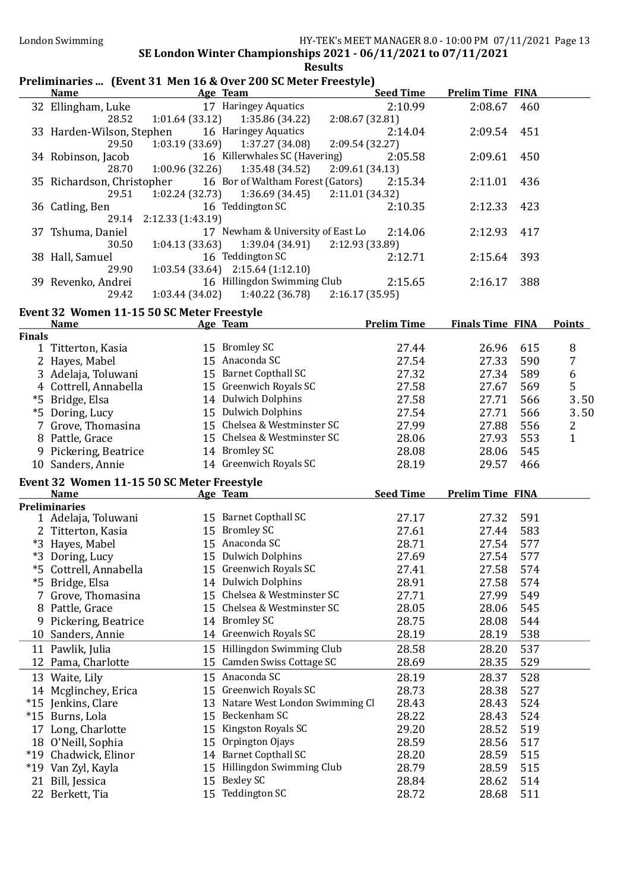# Preliminaries ... (Fyent 31 Men 16 & Over 200 SC Meter Freestyle)

|               | <b>Name</b>                                               |                   | Prendinaries  [Event 31 Men 10 & Over 200 SC Meter Freestyle]<br>Age Team | <b>Seed Time</b>   | <b>Prelim Time FINA</b> |     |                |
|---------------|-----------------------------------------------------------|-------------------|---------------------------------------------------------------------------|--------------------|-------------------------|-----|----------------|
|               | 32 Ellingham, Luke                                        |                   | 17 Haringey Aquatics                                                      | 2:10.99            | 2:08.67                 | 460 |                |
|               | 28.52                                                     |                   | $1:01.64(33.12)$ $1:35.86(34.22)$                                         | 2:08.67 (32.81)    |                         |     |                |
|               | 33 Harden-Wilson, Stephen                                 |                   | 16 Haringey Aquatics                                                      | 2:14.04            | 2:09.54                 | 451 |                |
|               | 29.50                                                     |                   | $1:03.19(33.69)$ $1:37.27(34.08)$                                         | 2:09.54 (32.27)    |                         |     |                |
|               | 34 Robinson, Jacob                                        |                   | 16 Killerwhales SC (Havering)                                             | 2:05.58            | 2:09.61                 | 450 |                |
|               | 28.70                                                     | 1:00.96 (32.26)   | 1:35.48(34.52)                                                            | 2:09.61 (34.13)    |                         |     |                |
|               | 35 Richardson, Christopher                                |                   | 16 Bor of Waltham Forest (Gators)                                         | 2:15.34            | 2:11.01                 | 436 |                |
|               | 29.51                                                     | 1:02.24 (32.73)   | 1:36.69 (34.45)                                                           | 2:11.01 (34.32)    |                         |     |                |
|               | 36 Catling, Ben                                           |                   | 16 Teddington SC                                                          | 2:10.35            | 2:12.33                 | 423 |                |
|               | 29.14                                                     | 2:12.33 (1:43.19) |                                                                           |                    |                         |     |                |
|               | 37 Tshuma, Daniel                                         |                   | 17 Newham & University of East Lo                                         | 2:14.06            | 2:12.93                 | 417 |                |
|               | 30.50                                                     | 1:04.13(33.63)    | 1:39.04 (34.91)                                                           | 2:12.93 (33.89)    |                         |     |                |
|               | 38 Hall, Samuel                                           |                   | 16 Teddington SC                                                          | 2:12.71            | 2:15.64                 | 393 |                |
|               | 29.90                                                     |                   | $1:03.54(33.64)$ $2:15.64(1:12.10)$                                       |                    |                         |     |                |
|               | 39 Revenko, Andrei                                        |                   | 16 Hillingdon Swimming Club                                               | 2:15.65            | 2:16.17                 | 388 |                |
|               | 29.42                                                     | 1:03.44(34.02)    | 1:40.22 (36.78)                                                           | 2:16.17(35.95)     |                         |     |                |
|               |                                                           |                   |                                                                           |                    |                         |     |                |
|               | Event 32 Women 11-15 50 SC Meter Freestyle<br><b>Name</b> |                   | Age Team                                                                  | <b>Prelim Time</b> | <b>Finals Time FINA</b> |     | <b>Points</b>  |
| <b>Finals</b> |                                                           |                   |                                                                           |                    |                         |     |                |
|               | 1 Titterton, Kasia                                        |                   | 15 Bromley SC                                                             | 27.44              | 26.96                   | 615 | 8              |
|               | 2 Hayes, Mabel                                            |                   | 15 Anaconda SC                                                            | 27.54              | 27.33                   | 590 | 7              |
|               | 3 Adelaja, Toluwani                                       |                   | 15 Barnet Copthall SC                                                     | 27.32              | 27.34                   | 589 | 6              |
|               |                                                           |                   | 15 Greenwich Royals SC                                                    |                    |                         | 569 | 5              |
|               | 4 Cottrell, Annabella                                     |                   |                                                                           | 27.58              | 27.67                   |     |                |
|               | *5 Bridge, Elsa                                           |                   | 14 Dulwich Dolphins                                                       | 27.58              | 27.71                   | 566 | 3.50           |
|               | *5 Doring, Lucy                                           |                   | 15 Dulwich Dolphins                                                       | 27.54              | 27.71                   | 566 | 3.50           |
|               | 7 Grove, Thomasina                                        |                   | 15 Chelsea & Westminster SC                                               | 27.99              | 27.88                   | 556 | $\overline{c}$ |
|               | 8 Pattle, Grace                                           |                   | 15 Chelsea & Westminster SC                                               | 28.06              | 27.93                   | 553 | $\mathbf{1}$   |
| 9             | Pickering, Beatrice                                       |                   | 14 Bromley SC                                                             | 28.08              | 28.06                   | 545 |                |
|               | 10 Sanders, Annie                                         |                   | 14 Greenwich Royals SC                                                    | 28.19              | 29.57                   | 466 |                |
|               | Event 32 Women 11-15 50 SC Meter Freestyle                |                   |                                                                           |                    |                         |     |                |
|               | Name                                                      |                   | Age Team                                                                  | <b>Seed Time</b>   | <b>Prelim Time FINA</b> |     |                |
|               | <b>Preliminaries</b>                                      |                   |                                                                           |                    |                         |     |                |
|               | 1 Adelaja, Toluwani                                       |                   | 15 Barnet Copthall SC                                                     | 27.17              | 27.32                   | 591 |                |
|               | 2 Titterton, Kasia                                        |                   | 15 Bromley SC                                                             | 27.61              | 27.44                   | 583 |                |
|               | *3 Hayes, Mabel                                           |                   | 15 Anaconda SC                                                            | 28.71              | 27.54                   | 577 |                |
|               | *3 Doring, Lucy                                           |                   | 15 Dulwich Dolphins                                                       | 27.69              | 27.54                   | 577 |                |
|               | *5 Cottrell, Annabella                                    |                   | 15 Greenwich Royals SC                                                    | 27.41              | 27.58                   | 574 |                |
| $*5$          | Bridge, Elsa                                              |                   | 14 Dulwich Dolphins                                                       | 28.91              | 27.58                   | 574 |                |
|               | 7 Grove, Thomasina                                        |                   | 15 Chelsea & Westminster SC                                               | 27.71              | 27.99                   | 549 |                |
|               | Pattle, Grace                                             |                   | 15 Chelsea & Westminster SC                                               | 28.05              | 28.06                   | 545 |                |
| 8             |                                                           |                   | 14 Bromley SC                                                             |                    |                         |     |                |
| 9             | Pickering, Beatrice                                       |                   |                                                                           | 28.75              | 28.08                   | 544 |                |
|               | 10 Sanders, Annie                                         |                   | 14 Greenwich Royals SC                                                    | 28.19              | 28.19                   | 538 |                |
|               | 11 Pawlik, Julia                                          |                   | 15 Hillingdon Swimming Club                                               | 28.58              | 28.20                   | 537 |                |
|               | 12 Pama, Charlotte                                        | 15                | Camden Swiss Cottage SC                                                   | 28.69              | 28.35                   | 529 |                |
|               | 13 Waite, Lily                                            |                   | 15 Anaconda SC                                                            | 28.19              | 28.37                   | 528 |                |
|               | 14 Mcglinchey, Erica                                      |                   | 15 Greenwich Royals SC                                                    | 28.73              | 28.38                   | 527 |                |
| $*15$         | Jenkins, Clare                                            | 13                | Natare West London Swimming Cl                                            | 28.43              | 28.43                   | 524 |                |
| $*15$         | Burns, Lola                                               | 15                | Beckenham SC                                                              | 28.22              | 28.43                   | 524 |                |
| 17            | Long, Charlotte                                           | 15                | Kingston Royals SC                                                        | 29.20              | 28.52                   | 519 |                |
|               | 18 O'Neill, Sophia                                        | 15                | Orpington Ojays                                                           | 28.59              | 28.56                   | 517 |                |
|               | *19 Chadwick, Elinor                                      |                   | 14 Barnet Copthall SC                                                     | 28.20              | 28.59                   | 515 |                |
|               |                                                           |                   |                                                                           |                    |                         |     |                |
|               | *19 Van Zyl, Kayla                                        |                   | 15 Hillingdon Swimming Club                                               | 28.79              | 28.59                   | 515 |                |
|               | 21 Bill, Jessica                                          |                   | 15 Bexley SC                                                              | 28.84              | 28.62                   | 514 |                |
|               | 22 Berkett, Tia                                           |                   | 15 Teddington SC                                                          | 28.72              | 28.68                   | 511 |                |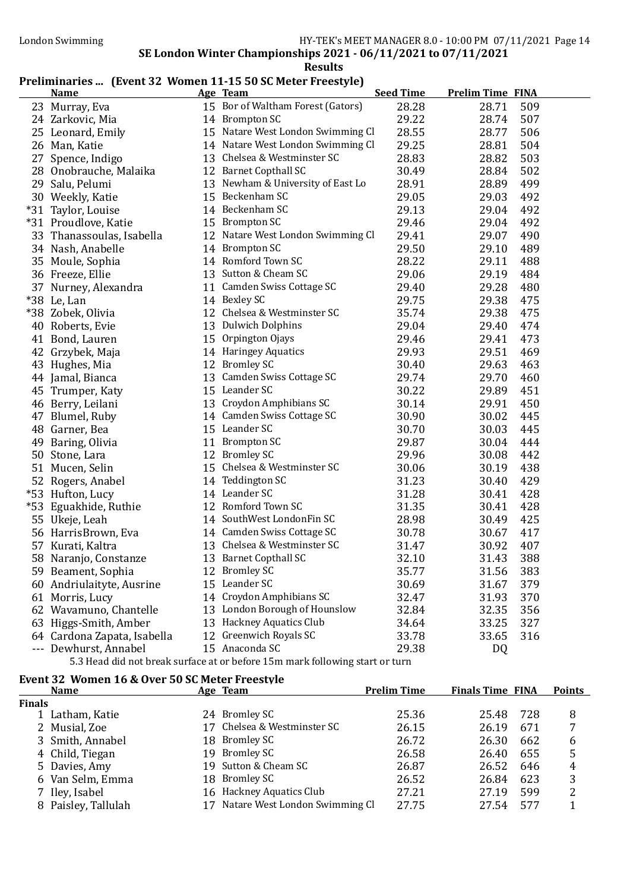# Preliminaries ... (Event 32 Women 11-15 50 SC Meter Freestyle)

|    | <b>Name</b>                 |    | Age Team                          | <b>Seed Time</b> | <b>Prelim Time FINA</b> |     |
|----|-----------------------------|----|-----------------------------------|------------------|-------------------------|-----|
|    | 23 Murray, Eva              |    | 15 Bor of Waltham Forest (Gators) | 28.28            | 28.71                   | 509 |
|    | 24 Zarkovic, Mia            |    | 14 Brompton SC                    | 29.22            | 28.74                   | 507 |
|    | 25 Leonard, Emily           |    | 15 Natare West London Swimming Cl | 28.55            | 28.77                   | 506 |
|    | 26 Man, Katie               |    | 14 Natare West London Swimming Cl | 29.25            | 28.81                   | 504 |
|    | 27 Spence, Indigo           |    | 13 Chelsea & Westminster SC       | 28.83            | 28.82                   | 503 |
|    | 28 Onobrauche, Malaika      |    | 12 Barnet Copthall SC             | 30.49            | 28.84                   | 502 |
|    | 29 Salu, Pelumi             |    | 13 Newham & University of East Lo | 28.91            | 28.89                   | 499 |
|    | 30 Weekly, Katie            |    | 15 Beckenham SC                   | 29.05            | 29.03                   | 492 |
|    | *31 Taylor, Louise          |    | 14 Beckenham SC                   | 29.13            | 29.04                   | 492 |
|    | *31 Proudlove, Katie        |    | 15 Brompton SC                    | 29.46            | 29.04                   | 492 |
|    | 33 Thanassoulas, Isabella   |    | 12 Natare West London Swimming Cl | 29.41            | 29.07                   | 490 |
|    | 34 Nash, Anabelle           |    | 14 Brompton SC                    | 29.50            | 29.10                   | 489 |
|    | 35 Moule, Sophia            |    | 14 Romford Town SC                | 28.22            | 29.11                   | 488 |
|    | 36 Freeze, Ellie            |    | 13 Sutton & Cheam SC              | 29.06            | 29.19                   | 484 |
|    | 37 Nurney, Alexandra        |    | 11 Camden Swiss Cottage SC        | 29.40            | 29.28                   | 480 |
|    | *38 Le, Lan                 |    | 14 Bexley SC                      | 29.75            | 29.38                   | 475 |
|    | *38 Zobek, Olivia           |    | 12 Chelsea & Westminster SC       | 35.74            | 29.38                   | 475 |
|    | 40 Roberts, Evie            |    | 13 Dulwich Dolphins               | 29.04            | 29.40                   | 474 |
|    | 41 Bond, Lauren             |    | 15 Orpington Ojays                | 29.46            | 29.41                   | 473 |
|    | 42 Grzybek, Maja            |    | 14 Haringey Aquatics              | 29.93            | 29.51                   | 469 |
|    | 43 Hughes, Mia              |    | 12 Bromley SC                     | 30.40            | 29.63                   | 463 |
|    | 44 Jamal, Bianca            |    | 13 Camden Swiss Cottage SC        | 29.74            | 29.70                   | 460 |
|    | 45 Trumper, Katy            |    | 15 Leander SC                     | 30.22            | 29.89                   | 451 |
|    | 46 Berry, Leilani           |    | 13 Croydon Amphibians SC          | 30.14            | 29.91                   | 450 |
|    | 47 Blumel, Ruby             |    | 14 Camden Swiss Cottage SC        | 30.90            | 30.02                   | 445 |
|    | 48 Garner, Bea              |    | 15 Leander SC                     | 30.70            | 30.03                   | 445 |
|    | 49 Baring, Olivia           |    | 11 Brompton SC                    | 29.87            | 30.04                   | 444 |
|    | 50 Stone, Lara              |    | 12 Bromley SC                     | 29.96            | 30.08                   | 442 |
|    | 51 Mucen, Selin             |    | 15 Chelsea & Westminster SC       | 30.06            | 30.19                   | 438 |
|    | 52 Rogers, Anabel           |    | 14 Teddington SC                  | 31.23            | 30.40                   | 429 |
|    | *53 Hufton, Lucy            |    | 14 Leander SC                     | 31.28            | 30.41                   | 428 |
|    | *53 Eguakhide, Ruthie       |    | 12 Romford Town SC                | 31.35            | 30.41                   | 428 |
|    | 55 Ukeje, Leah              |    | 14 SouthWest LondonFin SC         | 28.98            | 30.49                   | 425 |
|    | 56 HarrisBrown, Eva         |    | 14 Camden Swiss Cottage SC        | 30.78            | 30.67                   | 417 |
|    | 57 Kurati, Kaltra           |    | 13 Chelsea & Westminster SC       | 31.47            | 30.92                   | 407 |
|    | 58 Naranjo, Constanze       |    | 13 Barnet Copthall SC             | 32.10            | 31.43                   | 388 |
|    | 59 Beament, Sophia          |    | 12 Bromley SC                     | 35.77            | 31.56                   | 383 |
|    | 60 Andriulaityte, Ausrine   |    | 15 Leander SC                     | 30.69            | 31.67                   | 379 |
| 61 | Morris, Lucy                | 14 | Croydon Amphibians SC             | 32.47            | 31.93                   | 370 |
|    | 62 Wavamuno, Chantelle      | 13 | London Borough of Hounslow        | 32.84            | 32.35                   | 356 |
| 63 | Higgs-Smith, Amber          | 13 | Hackney Aquatics Club             | 34.64            | 33.25                   | 327 |
|    | 64 Cardona Zapata, Isabella | 12 | Greenwich Royals SC               | 33.78            | 33.65                   | 316 |
|    | --- Dewhurst, Annabel       |    | 15 Anaconda SC                    | 29.38            | DQ                      |     |

5.3 Head did not break surface at or before 15m mark following start or turn

### Event 32 Women 16 & Over 50 SC Meter Freestyle

| <b>Name</b>         |  |                                                                                                                                                                 |                                                         |     | <b>Points</b>           |
|---------------------|--|-----------------------------------------------------------------------------------------------------------------------------------------------------------------|---------------------------------------------------------|-----|-------------------------|
| <b>Finals</b>       |  |                                                                                                                                                                 |                                                         |     |                         |
| 1 Latham, Katie     |  | 25.36                                                                                                                                                           | 25.48                                                   | 728 | 8                       |
| 2 Musial, Zoe       |  | 26.15                                                                                                                                                           | 26.19                                                   | 671 |                         |
| 3 Smith, Annabel    |  | 26.72                                                                                                                                                           | 26.30                                                   | 662 | 6                       |
| 4 Child, Tiegan     |  | 26.58                                                                                                                                                           | 26.40                                                   | 655 | 5                       |
| 5 Davies, Amy       |  | 26.87                                                                                                                                                           | 26.52                                                   | 646 | 4                       |
| 6 Van Selm, Emma    |  | 26.52                                                                                                                                                           | 26.84                                                   | 623 | 3                       |
| 7 Iley, Isabel      |  | 27.21                                                                                                                                                           | 27.19                                                   | 599 | 2                       |
| 8 Paisley, Tallulah |  | 27.75                                                                                                                                                           | 27.54                                                   | 577 |                         |
|                     |  | Age Team<br>24 Bromley SC<br>17 Chelsea & Westminster SC<br>18 Bromley SC<br>19 Bromley SC<br>19 Sutton & Cheam SC<br>18 Bromley SC<br>16 Hackney Aquatics Club | <b>Prelim Time</b><br>17 Natare West London Swimming Cl |     | <b>Finals Time FINA</b> |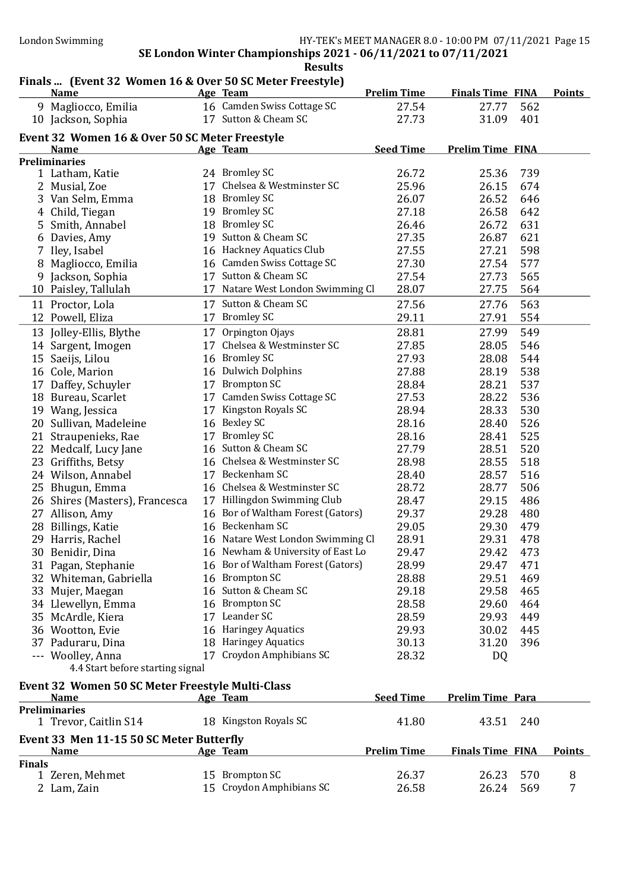# Finals ... (Event 32 Women 16 & Over 50 SC Meter Freestyle)

|               | <b>Name</b>                                      | Age Team                          | <b>Prelim Time</b> | <b>Finals Time FINA</b> |     | <b>Points</b> |
|---------------|--------------------------------------------------|-----------------------------------|--------------------|-------------------------|-----|---------------|
|               | 9 Magliocco, Emilia                              | 16 Camden Swiss Cottage SC        | 27.54              | 27.77                   | 562 |               |
|               | 10 Jackson, Sophia                               | 17 Sutton & Cheam SC              | 27.73              | 31.09                   | 401 |               |
|               | Event 32 Women 16 & Over 50 SC Meter Freestyle   |                                   |                    |                         |     |               |
|               | <b>Name</b>                                      | Age Team                          | <b>Seed Time</b>   | <b>Prelim Time FINA</b> |     |               |
|               | <b>Preliminaries</b>                             |                                   |                    |                         |     |               |
|               | 1 Latham, Katie                                  | 24 Bromley SC                     | 26.72              | 25.36                   | 739 |               |
|               | 2 Musial, Zoe                                    | 17 Chelsea & Westminster SC       | 25.96              | 26.15                   | 674 |               |
|               | 3 Van Selm, Emma                                 | 18 Bromley SC                     | 26.07              | 26.52                   | 646 |               |
|               | 4 Child, Tiegan                                  | 19 Bromley SC                     | 27.18              | 26.58                   | 642 |               |
|               | 5 Smith, Annabel                                 | 18 Bromley SC                     | 26.46              | 26.72                   | 631 |               |
|               | 6 Davies, Amy                                    | 19 Sutton & Cheam SC              | 27.35              | 26.87                   | 621 |               |
|               | 7 Iley, Isabel                                   | 16 Hackney Aquatics Club          | 27.55              | 27.21                   | 598 |               |
|               | 8 Magliocco, Emilia                              | 16 Camden Swiss Cottage SC        | 27.30              | 27.54                   | 577 |               |
|               | 9 Jackson, Sophia                                | 17 Sutton & Cheam SC              | 27.54              | 27.73                   | 565 |               |
|               | 10 Paisley, Tallulah                             | 17 Natare West London Swimming Cl | 28.07              | 27.75                   | 564 |               |
|               | 11 Proctor, Lola                                 | 17 Sutton & Cheam SC              | 27.56              | 27.76                   | 563 |               |
|               | 12 Powell, Eliza                                 | 17 Bromley SC                     | 29.11              | 27.91                   | 554 |               |
|               | 13 Jolley-Ellis, Blythe                          | 17 Orpington Ojays                | 28.81              | 27.99                   | 549 |               |
|               | 14 Sargent, Imogen                               | 17 Chelsea & Westminster SC       | 27.85              | 28.05                   | 546 |               |
|               | 15 Saeijs, Lilou                                 | 16 Bromley SC                     | 27.93              | 28.08                   | 544 |               |
|               | 16 Cole, Marion                                  | 16 Dulwich Dolphins               | 27.88              | 28.19                   | 538 |               |
|               | 17 Daffey, Schuyler                              | 17 Brompton SC                    | 28.84              | 28.21                   | 537 |               |
|               | 18 Bureau, Scarlet                               | 17 Camden Swiss Cottage SC        | 27.53              | 28.22                   | 536 |               |
|               | 19 Wang, Jessica                                 | 17 Kingston Royals SC             | 28.94              | 28.33                   | 530 |               |
|               | 20 Sullivan, Madeleine                           | 16 Bexley SC                      | 28.16              | 28.40                   | 526 |               |
|               | 21 Straupenieks, Rae                             | 17 Bromley SC                     | 28.16              | 28.41                   | 525 |               |
|               | 22 Medcalf, Lucy Jane                            | 16 Sutton & Cheam SC              | 27.79              | 28.51                   | 520 |               |
|               | 23 Griffiths, Betsy                              | 16 Chelsea & Westminster SC       | 28.98              | 28.55                   | 518 |               |
|               | 24 Wilson, Annabel                               | 17 Beckenham SC                   | 28.40              | 28.57                   | 516 |               |
|               | 25 Bhugun, Emma                                  | 16 Chelsea & Westminster SC       | 28.72              | 28.77                   | 506 |               |
|               | 26 Shires (Masters), Francesca                   | 17 Hillingdon Swimming Club       | 28.47              | 29.15                   | 486 |               |
|               | 27 Allison, Amy                                  | 16 Bor of Waltham Forest (Gators) | 29.37              | 29.28                   | 480 |               |
|               | 28 Billings, Katie                               | 16 Beckenham SC                   | 29.05              | 29.30                   | 479 |               |
|               | 29 Harris, Rachel                                | 16 Natare West London Swimming Cl | 28.91              | 29.31                   | 478 |               |
|               | 30 Benidir, Dina                                 | 16 Newham & University of East Lo | 29.47              | 29.42                   | 473 |               |
|               | 31 Pagan, Stephanie                              | 16 Bor of Waltham Forest (Gators) | 28.99              | 29.47                   | 471 |               |
|               | 32 Whiteman, Gabriella                           | 16 Brompton SC                    | 28.88              | 29.51                   | 469 |               |
|               | 33 Mujer, Maegan                                 | 16 Sutton & Cheam SC              | 29.18              | 29.58                   | 465 |               |
|               | 34 Llewellyn, Emma                               | 16 Brompton SC                    | 28.58              | 29.60                   | 464 |               |
|               | 35 McArdle, Kiera                                | 17 Leander SC                     | 28.59              | 29.93                   | 449 |               |
|               | 36 Wootton, Evie                                 | 16 Haringey Aquatics              | 29.93              | 30.02                   | 445 |               |
|               | 37 Paduraru, Dina                                | 18 Haringey Aquatics              | 30.13              | 31.20                   | 396 |               |
|               | --- Woolley, Anna                                | 17 Croydon Amphibians SC          | 28.32              | <b>DQ</b>               |     |               |
|               | 4.4 Start before starting signal                 |                                   |                    |                         |     |               |
|               | Event 32 Women 50 SC Meter Freestyle Multi-Class |                                   |                    |                         |     |               |
|               | <b>Name</b>                                      | Age Team                          | <b>Seed Time</b>   | <b>Prelim Time Para</b> |     |               |
|               | <b>Preliminaries</b>                             |                                   |                    |                         |     |               |
|               | 1 Trevor, Caitlin S14                            | 18 Kingston Royals SC             | 41.80              | 43.51                   | 240 |               |
|               | Event 33 Men 11-15 50 SC Meter Butterfly         |                                   |                    |                         |     |               |
|               | <b>Name</b>                                      | Age Team                          | <b>Prelim Time</b> | <b>Finals Time FINA</b> |     | <b>Points</b> |
| <b>Finals</b> |                                                  |                                   |                    |                         |     |               |
|               | 1 Zeren, Mehmet                                  | 15 Brompton SC                    | 26.37              | 26.23                   | 570 | 8             |
|               | 2 Lam, Zain                                      | 15 Croydon Amphibians SC          | 26.58              | 26.24                   | 569 | 7             |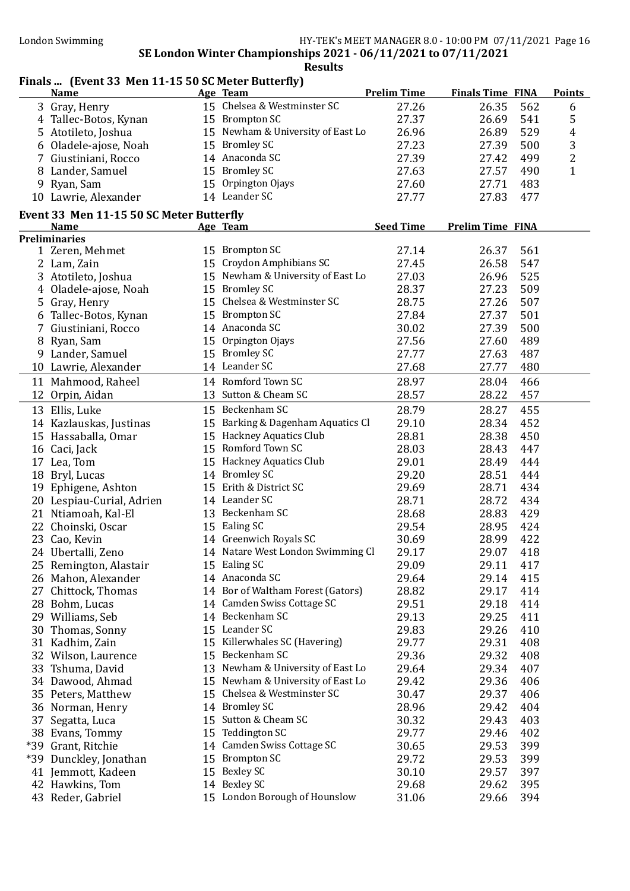# Finals ... (Event 33 Men 11-15 50 SC Meter Butterfly)

|    | <b>Name</b>                              |    | Age Team                          | <b>Prelim Time</b> | <b>Finals Time FINA</b> |     | <b>Points</b>  |
|----|------------------------------------------|----|-----------------------------------|--------------------|-------------------------|-----|----------------|
|    | 3 Gray, Henry                            |    | 15 Chelsea & Westminster SC       | 27.26              | 26.35                   | 562 | 6              |
|    | 4 Tallec-Botos, Kynan                    |    | 15 Brompton SC                    | 27.37              | 26.69                   | 541 | 5              |
|    | 5 Atotileto, Joshua                      |    | 15 Newham & University of East Lo | 26.96              | 26.89                   | 529 | 4              |
|    | 6 Oladele-ajose, Noah                    |    | 15 Bromley SC                     | 27.23              | 27.39                   | 500 | 3              |
|    | 7 Giustiniani, Rocco                     |    | 14 Anaconda SC                    | 27.39              | 27.42                   | 499 | $\overline{c}$ |
|    | 8 Lander, Samuel                         |    | 15 Bromley SC                     | 27.63              | 27.57                   | 490 | $\mathbf{1}$   |
|    | 9 Ryan, Sam                              | 15 | Orpington Ojays                   | 27.60              | 27.71                   | 483 |                |
|    | 10 Lawrie, Alexander                     |    | 14 Leander SC                     | 27.77              | 27.83                   | 477 |                |
|    |                                          |    |                                   |                    |                         |     |                |
|    | Event 33 Men 11-15 50 SC Meter Butterfly |    |                                   |                    |                         |     |                |
|    | <b>Name</b>                              |    | Age Team                          | <b>Seed Time</b>   | <b>Prelim Time FINA</b> |     |                |
|    | <b>Preliminaries</b>                     |    |                                   |                    |                         |     |                |
|    | 1 Zeren, Mehmet                          |    | 15 Brompton SC                    | 27.14              | 26.37                   | 561 |                |
|    | 2 Lam, Zain                              |    | 15 Croydon Amphibians SC          | 27.45              | 26.58                   | 547 |                |
|    | 3 Atotileto, Joshua                      |    | 15 Newham & University of East Lo | 27.03              | 26.96                   | 525 |                |
|    | 4 Oladele-ajose, Noah                    |    | 15 Bromley SC                     | 28.37              | 27.23                   | 509 |                |
|    | 5 Gray, Henry                            |    | 15 Chelsea & Westminster SC       | 28.75              | 27.26                   | 507 |                |
|    | 6 Tallec-Botos, Kynan                    |    | 15 Brompton SC                    | 27.84              | 27.37                   | 501 |                |
|    | 7 Giustiniani, Rocco                     |    | 14 Anaconda SC                    | 30.02              | 27.39                   | 500 |                |
|    | 8 Ryan, Sam                              |    | 15 Orpington Ojays                | 27.56              | 27.60                   | 489 |                |
|    | 9 Lander, Samuel                         |    | 15 Bromley SC                     | 27.77              | 27.63                   | 487 |                |
|    | 10 Lawrie, Alexander                     |    | 14 Leander SC                     | 27.68              | 27.77                   | 480 |                |
|    | 11 Mahmood, Raheel                       |    | 14 Romford Town SC                | 28.97              | 28.04                   | 466 |                |
| 12 | Orpin, Aidan                             | 13 | Sutton & Cheam SC                 | 28.57              | 28.22                   | 457 |                |
|    |                                          |    | 15 Beckenham SC                   |                    |                         |     |                |
|    | 13 Ellis, Luke                           |    |                                   | 28.79              | 28.27                   | 455 |                |
|    | 14 Kazlauskas, Justinas                  |    | 15 Barking & Dagenham Aquatics Cl | 29.10              | 28.34                   | 452 |                |
|    | 15 Hassaballa, Omar                      |    | 15 Hackney Aquatics Club          | 28.81              | 28.38                   | 450 |                |
|    | 16 Caci, Jack                            |    | 15 Romford Town SC                | 28.03              | 28.43                   | 447 |                |
|    | 17 Lea, Tom                              |    | 15 Hackney Aquatics Club          | 29.01              | 28.49                   | 444 |                |
|    | 18 Bryl, Lucas                           |    | 14 Bromley SC                     | 29.20              | 28.51                   | 444 |                |
|    | 19 Ephigene, Ashton                      |    | 15 Erith & District SC            | 29.69              | 28.71                   | 434 |                |
|    | 20 Lespiau-Curial, Adrien                |    | 14 Leander SC                     | 28.71              | 28.72                   | 434 |                |
|    | 21 Ntiamoah, Kal-El                      |    | 13 Beckenham SC                   | 28.68              | 28.83                   | 429 |                |
|    | 22 Choinski, Oscar                       |    | 15 Ealing SC                      | 29.54              | 28.95                   | 424 |                |
|    | 23 Cao, Kevin                            |    | 14 Greenwich Royals SC            | 30.69              | 28.99                   | 422 |                |
|    | 24 Ubertalli, Zeno                       |    | 14 Natare West London Swimming Cl | 29.17              | 29.07                   | 418 |                |
|    | 25 Remington, Alastair                   |    | 15 Ealing SC                      | 29.09              | 29.11                   | 417 |                |
|    | 26 Mahon, Alexander                      |    | 14 Anaconda SC                    | 29.64              | 29.14                   | 415 |                |
| 27 | Chittock, Thomas                         |    | 14 Bor of Waltham Forest (Gators) | 28.82              | 29.17                   | 414 |                |
|    | 28 Bohm, Lucas                           |    | 14 Camden Swiss Cottage SC        | 29.51              | 29.18                   | 414 |                |
|    | 29 Williams, Seb                         |    | 14 Beckenham SC                   | 29.13              | 29.25                   | 411 |                |
|    | 30 Thomas, Sonny                         |    | 15 Leander SC                     | 29.83              | 29.26                   | 410 |                |
|    | 31 Kadhim, Zain                          |    | 15 Killerwhales SC (Havering)     | 29.77              | 29.31                   | 408 |                |
|    | 32 Wilson, Laurence                      | 15 | Beckenham SC                      | 29.36              | 29.32                   | 408 |                |
|    | 33 Tshuma, David                         |    | 13 Newham & University of East Lo | 29.64              | 29.34                   | 407 |                |
|    | 34 Dawood, Ahmad                         |    | 15 Newham & University of East Lo | 29.42              | 29.36                   | 406 |                |
|    | 35 Peters, Matthew                       | 15 | Chelsea & Westminster SC          | 30.47              | 29.37                   | 406 |                |
|    | 36 Norman, Henry                         |    | 14 Bromley SC                     | 28.96              | 29.42                   | 404 |                |
| 37 | Segatta, Luca                            | 15 | Sutton & Cheam SC                 | 30.32              | 29.43                   | 403 |                |
|    | 38 Evans, Tommy                          | 15 | <b>Teddington SC</b>              | 29.77              | 29.46                   | 402 |                |
|    | *39 Grant, Ritchie                       | 14 | Camden Swiss Cottage SC           | 30.65              | 29.53                   | 399 |                |
|    | *39 Dunckley, Jonathan                   | 15 | <b>Brompton SC</b>                | 29.72              | 29.53                   | 399 |                |
|    |                                          |    | <b>Bexley SC</b>                  |                    | 29.57                   | 397 |                |
|    | 41 Jemmott, Kadeen                       | 15 |                                   | 30.10              |                         |     |                |
|    | 42 Hawkins, Tom                          |    | 14 Bexley SC                      | 29.68              | 29.62                   | 395 |                |
|    | 43 Reder, Gabriel                        |    | 15 London Borough of Hounslow     | 31.06              | 29.66                   | 394 |                |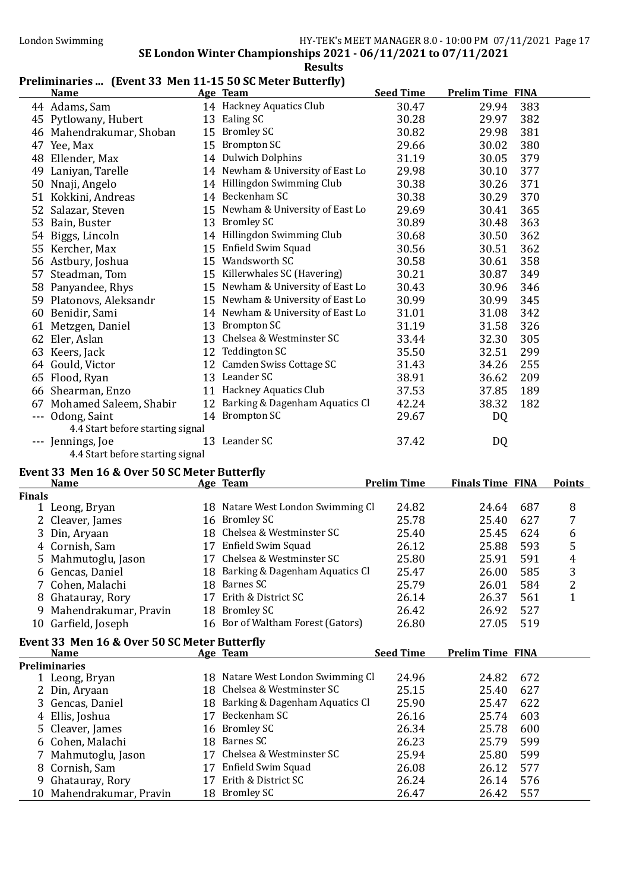# Preliminaries ... (Event 33 Men 11-15 50 SC Meter Butterfly)

|    | <b>Name</b>                      |    | Age Team                          | <b>Seed Time</b> | <b>Prelim Time FINA</b> |
|----|----------------------------------|----|-----------------------------------|------------------|-------------------------|
|    | 44 Adams, Sam                    |    | 14 Hackney Aquatics Club          | 30.47            | 29.94<br>383            |
|    | 45 Pytlowany, Hubert             | 13 | Ealing SC                         | 30.28            | 29.97<br>382            |
|    | 46 Mahendrakumar, Shoban         | 15 | <b>Bromley SC</b>                 | 30.82            | 381<br>29.98            |
| 47 | Yee, Max                         | 15 | <b>Brompton SC</b>                | 29.66            | 380<br>30.02            |
| 48 | Ellender, Max                    |    | 14 Dulwich Dolphins               | 31.19            | 379<br>30.05            |
| 49 | Laniyan, Tarelle                 |    | 14 Newham & University of East Lo | 29.98            | 30.10<br>377            |
| 50 | Nnaji, Angelo                    |    | 14 Hillingdon Swimming Club       | 30.38            | 371<br>30.26            |
|    | 51 Kokkini, Andreas              |    | 14 Beckenham SC                   | 30.38            | 370<br>30.29            |
| 52 | Salazar, Steven                  |    | 15 Newham & University of East Lo | 29.69            | 365<br>30.41            |
| 53 | Bain, Buster                     | 13 | <b>Bromley SC</b>                 | 30.89            | 363<br>30.48            |
|    | 54 Biggs, Lincoln                |    | 14 Hillingdon Swimming Club       | 30.68            | 30.50<br>362            |
|    | 55 Kercher, Max                  | 15 | Enfield Swim Squad                | 30.56            | 362<br>30.51            |
|    | 56 Astbury, Joshua               | 15 | Wandsworth SC                     | 30.58            | 358<br>30.61            |
| 57 | Steadman, Tom                    | 15 | Killerwhales SC (Havering)        | 30.21            | 349<br>30.87            |
|    | 58 Panyandee, Rhys               |    | 15 Newham & University of East Lo | 30.43            | 346<br>30.96            |
|    | 59 Platonovs, Aleksandr          | 15 | Newham & University of East Lo    | 30.99            | 30.99<br>345            |
| 60 | Benidir, Sami                    |    | 14 Newham & University of East Lo | 31.01            | 342<br>31.08            |
| 61 | Metzgen, Daniel                  | 13 | <b>Brompton SC</b>                | 31.19            | 326<br>31.58            |
|    | 62 Eler, Aslan                   | 13 | Chelsea & Westminster SC          | 33.44            | 305<br>32.30            |
| 63 | Keers, Jack                      | 12 | <b>Teddington SC</b>              | 35.50            | 299<br>32.51            |
| 64 | Gould, Victor                    | 12 | Camden Swiss Cottage SC           | 31.43            | 255<br>34.26            |
| 65 | Flood, Ryan                      | 13 | Leander SC                        | 38.91            | 209<br>36.62            |
|    | 66 Shearman, Enzo                | 11 | Hackney Aquatics Club             | 37.53            | 189<br>37.85            |
| 67 | Mohamed Saleem, Shabir           | 12 | Barking & Dagenham Aquatics Cl    | 42.24            | 38.32<br>182            |
|    | Odong, Saint                     |    | 14 Brompton SC                    | 29.67            | DQ                      |
|    | 4.4 Start before starting signal |    |                                   |                  |                         |
|    | Jennings, Joe                    |    | 13 Leander SC                     | 37.42            | DQ                      |
|    | 4.4 Start before starting signal |    |                                   |                  |                         |

# Event 33 Men 16 & Over 50 SC Meter Butterfly

|               | <b>Name</b>                                  |    | Age Team                          | <b>Prelim Time</b> | <b>Finals Time FINA</b> |     | <b>Points</b>  |
|---------------|----------------------------------------------|----|-----------------------------------|--------------------|-------------------------|-----|----------------|
| <b>Finals</b> |                                              |    |                                   |                    |                         |     |                |
|               | 1 Leong, Bryan                               |    | 18 Natare West London Swimming Cl | 24.82              | 24.64                   | 687 | 8              |
|               | 2 Cleaver, James                             |    | 16 Bromley SC                     | 25.78              | 25.40                   | 627 | 7              |
| 3.            | Din, Aryaan                                  | 18 | Chelsea & Westminster SC          | 25.40              | 25.45                   | 624 | 6              |
|               | 4 Cornish, Sam                               | 17 | Enfield Swim Squad                | 26.12              | 25.88                   | 593 | 5              |
| 5.            | Mahmutoglu, Jason                            | 17 | Chelsea & Westminster SC          | 25.80              | 25.91                   | 591 | 4              |
|               | 6 Gencas, Daniel                             | 18 | Barking & Dagenham Aquatics Cl    | 25.47              | 26.00                   | 585 | 3              |
| 7.            | Cohen, Malachi                               | 18 | Barnes SC                         | 25.79              | 26.01                   | 584 | $\overline{2}$ |
| 8             | Ghatauray, Rory                              | 17 | Erith & District SC               | 26.14              | 26.37                   | 561 | $\mathbf{1}$   |
| 9             | Mahendrakumar, Pravin                        | 18 | <b>Bromley SC</b>                 | 26.42              | 26.92                   | 527 |                |
|               | 10 Garfield, Joseph                          | 16 | Bor of Waltham Forest (Gators)    | 26.80              | 27.05                   | 519 |                |
|               | Event 33 Men 16 & Over 50 SC Meter Butterfly |    |                                   |                    |                         |     |                |
|               | <b>Name</b>                                  |    | Age Team                          | <b>Seed Time</b>   | <b>Prelim Time FINA</b> |     |                |
|               | <b>Preliminaries</b>                         |    |                                   |                    |                         |     |                |
|               | 1 Leong, Bryan                               |    | 18 Natare West London Swimming Cl | 24.96              | 24.82                   | 672 |                |
| 2             | Din, Aryaan                                  |    | 18 Chelsea & Westminster SC       | 25.15              | 25.40                   | 627 |                |
|               | 3 Gencas, Daniel                             |    | 18 Barking & Dagenham Aquatics Cl | 25.90              | 25.47                   | 622 |                |
| 4             | Ellis, Joshua                                | 17 | Beckenham SC                      | 26.16              | 25.74                   | 603 |                |
|               | 5 Cleaver, James                             | 16 | <b>Bromley SC</b>                 | 26.34              | 25.78                   | 600 |                |
|               | 6 Cohen, Malachi                             | 18 | Barnes SC                         | 26.23              | 25.79                   | 599 |                |
|               | 7 Mahmutoglu, Jason                          | 17 | Chelsea & Westminster SC          | 25.94              | 25.80                   | 599 |                |
| 8             | Cornish, Sam                                 | 17 | Enfield Swim Squad                | 26.08              | 26.12                   | 577 |                |
| 9             | Ghatauray, Rory                              | 17 | Erith & District SC               | 26.24              | 26.14                   | 576 |                |
|               | 10 Mahendrakumar, Pravin                     |    | 18 Bromley SC                     | 26.47              | 26.42                   | 557 |                |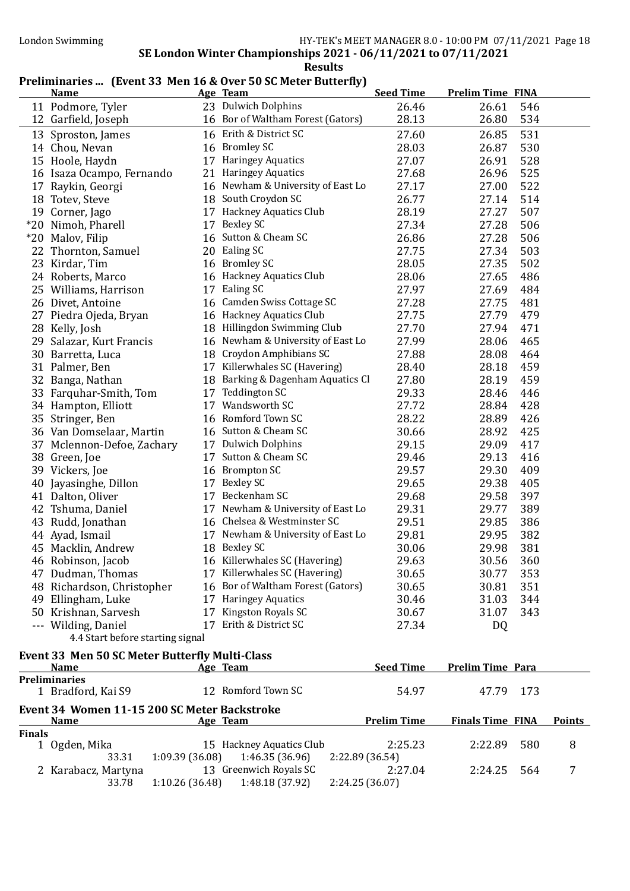# Preliminaries ... (Event 33 Men 16 & Over 50 SC Meter Butterfly)

| <b>Name</b>                      |    | Age Team                          | <b>Seed Time</b> | <b>Prelim Time FINA</b> |  |
|----------------------------------|----|-----------------------------------|------------------|-------------------------|--|
| 11 Podmore, Tyler                |    | 23 Dulwich Dolphins               | 26.46            | 546<br>26.61            |  |
| 12 Garfield, Joseph              |    | 16 Bor of Waltham Forest (Gators) | 28.13            | 534<br>26.80            |  |
| 13 Sproston, James               |    | 16 Erith & District SC            | 27.60            | 531<br>26.85            |  |
| 14 Chou, Nevan                   |    | 16 Bromley SC                     | 28.03            | 530<br>26.87            |  |
| 15 Hoole, Haydn                  |    | 17 Haringey Aquatics              | 27.07            | 26.91<br>528            |  |
| 16 Isaza Ocampo, Fernando        |    | 21 Haringey Aquatics              | 27.68            | 525<br>26.96            |  |
| 17 Raykin, Georgi                |    | 16 Newham & University of East Lo | 27.17            | 522<br>27.00            |  |
| 18 Totev, Steve                  |    | 18 South Croydon SC               | 26.77            | 514<br>27.14            |  |
| 19 Corner, Jago                  |    | 17 Hackney Aquatics Club          | 28.19            | 507<br>27.27            |  |
| *20 Nimoh, Pharell               |    | 17 Bexley SC                      | 27.34            | 27.28<br>506            |  |
| *20 Malov, Filip                 |    | 16 Sutton & Cheam SC              | 26.86            | 27.28<br>506            |  |
| 22 Thornton, Samuel              |    | 20 Ealing SC                      | 27.75            | 27.34<br>503            |  |
| 23 Kirdar, Tim                   |    | 16 Bromley SC                     | 28.05            | 502<br>27.35            |  |
| 24 Roberts, Marco                |    | 16 Hackney Aquatics Club          | 28.06            | 486<br>27.65            |  |
| 25 Williams, Harrison            |    | 17 Ealing SC                      | 27.97            | 27.69<br>484            |  |
| 26 Divet, Antoine                |    | 16 Camden Swiss Cottage SC        | 27.28            | 481<br>27.75            |  |
| 27 Piedra Ojeda, Bryan           |    | 16 Hackney Aquatics Club          | 27.75            | 27.79<br>479            |  |
| 28 Kelly, Josh                   |    | 18 Hillingdon Swimming Club       | 27.70            | 27.94<br>471            |  |
| 29 Salazar, Kurt Francis         |    | 16 Newham & University of East Lo | 27.99            | 28.06<br>465            |  |
| 30 Barretta, Luca                |    | 18 Croydon Amphibians SC          | 27.88            | 464<br>28.08            |  |
| 31 Palmer, Ben                   |    | 17 Killerwhales SC (Havering)     | 28.40            | 459<br>28.18            |  |
| 32 Banga, Nathan                 |    | 18 Barking & Dagenham Aquatics Cl | 27.80            | 459<br>28.19            |  |
| 33 Farquhar-Smith, Tom           |    | 17 Teddington SC                  | 29.33            | 446<br>28.46            |  |
| 34 Hampton, Elliott              |    | 17 Wandsworth SC                  | 27.72            | 428<br>28.84            |  |
| 35 Stringer, Ben                 |    | 16 Romford Town SC                | 28.22            | 426<br>28.89            |  |
| 36 Van Domselaar, Martin         |    | 16 Sutton & Cheam SC              | 30.66            | 425<br>28.92            |  |
| 37 Mclennon-Defoe, Zachary       |    | 17 Dulwich Dolphins               | 29.15            | 417<br>29.09            |  |
| 38 Green, Joe                    |    | 17 Sutton & Cheam SC              | 29.46            | 29.13<br>416            |  |
| 39 Vickers, Joe                  |    | 16 Brompton SC                    | 29.57            | 29.30<br>409            |  |
| 40 Jayasinghe, Dillon            |    | 17 Bexley SC                      | 29.65            | 29.38<br>405            |  |
| 41 Dalton, Oliver                |    | 17 Beckenham SC                   | 29.68            | 397<br>29.58            |  |
| 42 Tshuma, Daniel                |    | 17 Newham & University of East Lo | 29.31            | 389<br>29.77            |  |
| 43 Rudd, Jonathan                |    | 16 Chelsea & Westminster SC       | 29.51            | 386<br>29.85            |  |
| 44 Ayad, Ismail                  |    | 17 Newham & University of East Lo | 29.81            | 382<br>29.95            |  |
| 45 Macklin, Andrew               |    | 18 Bexley SC                      | 30.06            | 381<br>29.98            |  |
| 46 Robinson, Jacob               |    | 16 Killerwhales SC (Havering)     | 29.63            | 360<br>30.56            |  |
| 47 Dudman, Thomas                |    | 17 Killerwhales SC (Havering)     | 30.65            | 353<br>30.77            |  |
| 48 Richardson, Christopher       |    | 16 Bor of Waltham Forest (Gators) | 30.65            | 351<br>30.81            |  |
| 49 Ellingham, Luke               |    | 17 Haringey Aquatics              | 30.46            | 31.03<br>344            |  |
| 50 Krishnan, Sarvesh             | 17 | Kingston Royals SC                | 30.67            | 343<br>31.07            |  |
| Wilding, Daniel                  |    | 17 Erith & District SC            | 27.34            | DQ                      |  |
| 4.4 Start before starting signal |    |                                   |                  |                         |  |

# Event 33 Men 50 SC Meter Butterfly Multi-Class

| <b>Name</b>                                  |       |                | Age Team                                  | <b>Seed Time</b>          | <b>Prelim Time Para</b> |       |               |
|----------------------------------------------|-------|----------------|-------------------------------------------|---------------------------|-------------------------|-------|---------------|
| <b>Preliminaries</b><br>1 Bradford, Kai S9   |       |                | 12 Romford Town SC                        | 54.97                     | 47.79                   | - 173 |               |
| Event 34 Women 11-15 200 SC Meter Backstroke |       |                |                                           |                           |                         |       |               |
| <b>Name</b>                                  |       |                | Age Team                                  | <b>Prelim Time</b>        | <b>Finals Time FINA</b> |       | <b>Points</b> |
| <b>Finals</b>                                |       |                |                                           |                           |                         |       |               |
| 1 Ogden, Mika                                |       |                | 15 Hackney Aquatics Club                  | 2:25.23                   | 2:22.89                 | 580   | 8             |
|                                              | 33.31 | 1:09.39(36.08) | 1:46.35 (36.96)                           | 2:22.89 (36.54)           |                         |       |               |
| 2 Karabacz, Martyna                          | 33.78 | 1:10.26(36.48) | 13 Greenwich Royals SC<br>1:48.18 (37.92) | 2:27.04<br>2:24.25(36.07) | 2:24.25                 | 564   |               |
|                                              |       |                |                                           |                           |                         |       |               |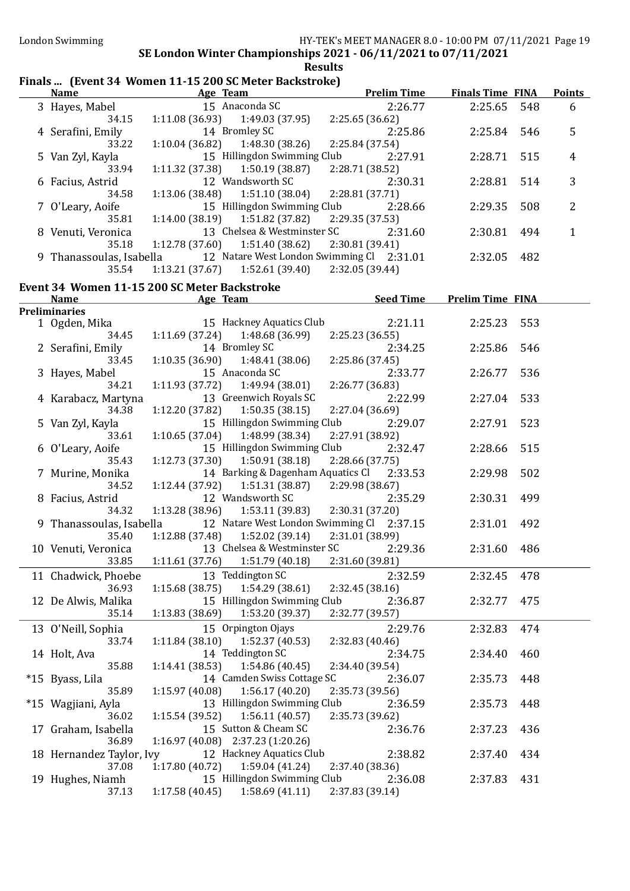# Finals ... (Event 34 Women 11-15 200 SC Meter Backstroke)

|                          | $\mathbf{r}$ mais  (Event 5 + Women 11 15 200 56 Meter Backstroke)                                                           |                  |                         |     |                |
|--------------------------|------------------------------------------------------------------------------------------------------------------------------|------------------|-------------------------|-----|----------------|
|                          | Name <b>Source Aged The Age Team Security</b> Prelim Time Finals Time FINA                                                   |                  |                         |     | <b>Points</b>  |
|                          | 3 Hayes, Mabel 15 Anaconda SC                                                                                                | 2:26.77          | 2:25.65                 | 548 | 6              |
|                          | 34.15   1:11.08   (36.93)   1:49.03   (37.95)   2:25.65   (36.62)                                                            |                  |                         |     |                |
| 4 Serafini, Emily        | 14 Bromley SC                                                                                                                | 2:25.86          | 2:25.84 546             |     | 5              |
| 33.22                    | $1:10.04(36.82)$ $1:48.30(38.26)$                                                                                            | 2:25.84 (37.54)  |                         |     |                |
| 5 Van Zyl, Kayla         | 15 Hillingdon Swimming Club                                                                                                  | 2:27.91          | 2:28.71                 | 515 | $\overline{4}$ |
| 33.94                    | $1:11.32$ (37.38) $1:50.19$ (38.87) $2:28.71$ (38.52)                                                                        |                  |                         |     |                |
| 6 Facius, Astrid         | 12 Wandsworth SC                                                                                                             | 2:30.31          | 2:28.81                 | 514 | 3              |
| 34.58                    | $1:13.06(38.48)$ $1:51.10(38.04)$ $2:28.81(37.71)$                                                                           |                  |                         |     |                |
| 7 O'Leary, Aoife         | 15 Hillingdon Swimming Club                                                                                                  | 2:28.66          | 2:29.35                 | 508 | 2              |
| 35.81                    | $1:14.00(38.19)$ $1:51.82(37.82)$                                                                                            | 2:29.35 (37.53)  |                         |     |                |
| 8 Venuti, Veronica       | 13 Chelsea & Westminster SC                                                                                                  | 2:31.60          | 2:30.81                 | 494 | $\mathbf{1}$   |
| 35.18                    | $1:12.78(37.60)$ $1:51.40(38.62)$                                                                                            | 2:30.81 (39.41)  |                         |     |                |
| 9 Thanassoulas, Isabella | 12 Natare West London Swimming Cl 2:31.01 2:32.05 482                                                                        |                  |                         |     |                |
| 35.54                    | $1:13.21(37.67)$ $1:52.61(39.40)$ $2:32.05(39.44)$                                                                           |                  |                         |     |                |
|                          |                                                                                                                              |                  |                         |     |                |
|                          | Event 34 Women 11-15 200 SC Meter Backstroke                                                                                 |                  |                         |     |                |
|                          | Name Age Team                                                                                                                | <u>Seed Time</u> | <b>Prelim Time FINA</b> |     |                |
| <b>Preliminaries</b>     | $\begin{array}{lll} \text{a} & 15 & \text{Hackney Aquatics Club} \ \text{34.45} & 1:11.69 (37.24) & 1.49 (9999) \end{array}$ |                  |                         |     |                |
| 1 Ogden, Mika            |                                                                                                                              | 2:21.11          | 2:25.23                 | 553 |                |
|                          | $1:11.69$ (37.24) $1:48.68$ (36.99) $2:25.23$ (36.55)                                                                        |                  |                         |     |                |
| 2 Serafini, Emily        | 14 Bromley SC                                                                                                                | 2:34.25          | 2:25.86                 | 546 |                |
| 33.45                    | $14$ sromley SC<br>1:10.35 (36.90) 1:48.41 (38.06)                                                                           | 2:25.86 (37.45)  |                         |     |                |
| 3 Hayes, Mabel           | 15 Anaconda SC                                                                                                               | 2:33.77          | 2:26.77                 | 536 |                |
| 34.21                    | $1:11.93(37.72)$ $1:49.94(38.01)$                                                                                            | 2:26.77 (36.83)  |                         |     |                |
| 4 Karabacz, Martyna      | 13 Greenwich Royals SC                                                                                                       | 2:22.99          | 2:27.04                 | 533 |                |
| 34.38                    | $1:12.20(37.82)$ $1:50.35(38.15)$                                                                                            | 2:27.04 (36.69)  |                         |     |                |
| 5 Van Zyl, Kayla         | 15 Hillingdon Swimming Club                                                                                                  | 2:29.07          | 2:27.91                 | 523 |                |
| 33.61                    | $1:10.65(37.04)$ $1:48.99(38.34)$                                                                                            | 2:27.91 (38.92)  |                         |     |                |
| 6 O'Leary, Aoife         | 15 Hillingdon Swimming Club                                                                                                  | 2:32.47          | 2:28.66                 | 515 |                |
| 35.43                    | $1:12.73(37.30)$ $1:50.91(38.18)$                                                                                            | 2:28.66 (37.75)  |                         |     |                |
| 7 Murine, Monika         | 14 Barking & Dagenham Aquatics Cl 2:33.53                                                                                    |                  | 2:29.98                 | 502 |                |
| 34.52                    | 1:12.44 (37.92)  1:51.31 (38.87)  2:29.98 (38.67)                                                                            |                  |                         |     |                |
| 8 Facius, Astrid         | 12 Wandsworth SC                                                                                                             | 2:35.29          | 2:30.31                 | 499 |                |
| 34.32                    | 1:13.28 (38.96) 1:53.11 (39.83) 2:30.31 (37.20)                                                                              |                  |                         |     |                |
|                          |                                                                                                                              |                  |                         |     |                |
| 9 Thanassoulas, Isabella | 12 Natare West London Swimming Cl 2:37.15                                                                                    |                  | 2:31.01 492             |     |                |
| 35.40                    | $1:12.88(37.48)$ $1:52.02(39.14)$                                                                                            | 2:31.01 (38.99)  |                         |     |                |
| 10 Venuti, Veronica      | 13 Chelsea & Westminster SC 2:29.36                                                                                          |                  | 2:31.60 486             |     |                |
|                          | 33.85   1:11.61 (37.76)<br>1:51.79 (40.18)                                                                                   | 2:31.60 (39.81)  |                         |     |                |
| 11 Chadwick, Phoebe      | 13 Teddington SC                                                                                                             | 2:32.59          | 2:32.45                 | 478 |                |
| 36.93                    | 1:15.68 (38.75)<br>1:54.29 (38.61)                                                                                           | 2:32.45 (38.16)  |                         |     |                |
| 12 De Alwis, Malika      | 15 Hillingdon Swimming Club                                                                                                  | 2:36.87          | 2:32.77                 | 475 |                |
| 35.14                    | 1:53.20 (39.37)<br>1:13.83 (38.69)                                                                                           | 2:32.77 (39.57)  |                         |     |                |
| 13 O'Neill, Sophia       | 15 Orpington Ojays                                                                                                           | 2:29.76          | 2:32.83                 | 474 |                |
| 33.74                    | 1:11.84 (38.10)<br>1:52.37 (40.53)                                                                                           | 2:32.83 (40.46)  |                         |     |                |
| 14 Holt, Ava             | 14 Teddington SC                                                                                                             | 2:34.75          | 2:34.40                 | 460 |                |
| 35.88                    | 1:54.86(40.45)<br>1:14.41 (38.53)                                                                                            | 2:34.40 (39.54)  |                         |     |                |
|                          | 14 Camden Swiss Cottage SC                                                                                                   | 2:36.07          |                         | 448 |                |
| *15 Byass, Lila<br>35.89 |                                                                                                                              |                  | 2:35.73                 |     |                |
|                          | 1:15.97 (40.08)<br>1:56.17(40.20)                                                                                            | 2:35.73 (39.56)  |                         |     |                |
| *15 Wagjiani, Ayla       | 13 Hillingdon Swimming Club                                                                                                  | 2:36.59          | 2:35.73                 | 448 |                |
| 36.02                    | 1:56.11(40.57)<br>1:15.54 (39.52)                                                                                            | 2:35.73 (39.62)  |                         |     |                |
| 17 Graham, Isabella      | 15 Sutton & Cheam SC                                                                                                         | 2:36.76          | 2:37.23                 | 436 |                |
| 36.89                    | 1:16.97 (40.08) 2:37.23 (1:20.26)                                                                                            |                  |                         |     |                |
| 18 Hernandez Taylor, Ivy | 12 Hackney Aquatics Club                                                                                                     | 2:38.82          | 2:37.40                 | 434 |                |
| 37.08                    | 1:17.80 (40.72)<br>1:59.04 (41.24)                                                                                           | 2:37.40 (38.36)  |                         |     |                |
| 19 Hughes, Niamh         | 15 Hillingdon Swimming Club                                                                                                  | 2:36.08          | 2:37.83                 | 431 |                |
| 37.13                    | 1:58.69(41.11)<br>1:17.58(40.45)                                                                                             | 2:37.83 (39.14)  |                         |     |                |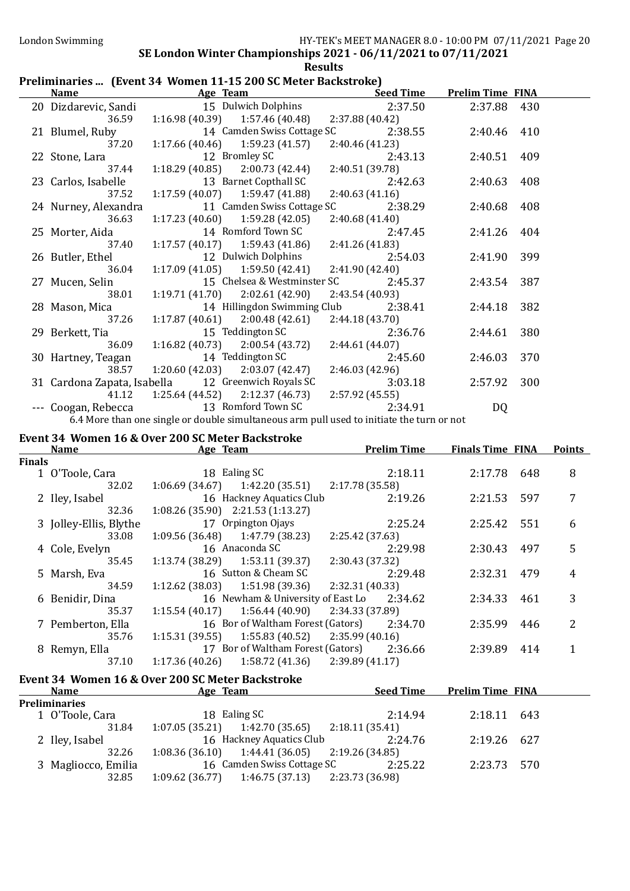### Preliminaries ... (Event 34 Women 11-15 200 SC Meter Backstroke)

| Name                                                                                      |                                   | <b>Example 2018</b> Age Team | <b>Seed Time</b> | <b>Prelim Time FINA</b> |     |  |  |
|-------------------------------------------------------------------------------------------|-----------------------------------|------------------------------|------------------|-------------------------|-----|--|--|
| 20 Dizdarevic, Sandi                                                                      |                                   | 15 Dulwich Dolphins          | 2:37.50          | 2:37.88                 | 430 |  |  |
| 36.59                                                                                     | $1:16.98(40.39)$ $1:57.46(40.48)$ |                              | 2:37.88(40.42)   |                         |     |  |  |
| 21 Blumel, Ruby                                                                           |                                   | 14 Camden Swiss Cottage SC   | 2:38.55          | 2:40.46 410             |     |  |  |
| 37.20                                                                                     | $1:17.66(40.46)$ $1:59.23(41.57)$ |                              | 2:40.46 (41.23)  |                         |     |  |  |
| 22 Stone, Lara                                                                            |                                   | 12 Bromley SC                | 2:43.13          | 2:40.51 409             |     |  |  |
| 37.44                                                                                     | $1:18.29(40.85)$ $2:00.73(42.44)$ |                              | 2:40.51 (39.78)  |                         |     |  |  |
| 23 Carlos, Isabelle                                                                       |                                   | 13 Barnet Copthall SC        | 2:42.63          | 2:40.63                 | 408 |  |  |
| 37.52                                                                                     | $1:17.59(40.07)$ $1:59.47(41.88)$ |                              | 2:40.63(41.16)   |                         |     |  |  |
| 24 Nurney, Alexandra                                                                      |                                   | 11 Camden Swiss Cottage SC   | 2:38.29          | 2:40.68                 | 408 |  |  |
| 36.63                                                                                     | $1:17.23(40.60)$ $1:59.28(42.05)$ |                              | 2:40.68(41.40)   |                         |     |  |  |
| 25 Morter, Aida                                                                           |                                   | 14 Romford Town SC           | 2:47.45          | 2:41.26 404             |     |  |  |
| 37.40                                                                                     | $1:17.57(40.17)$ $1:59.43(41.86)$ |                              | 2:41.26 (41.83)  |                         |     |  |  |
| 26 Butler, Ethel                                                                          |                                   | 12 Dulwich Dolphins          | 2:54.03          | 2:41.90                 | 399 |  |  |
| 36.04                                                                                     | $1:17.09(41.05)$ $1:59.50(42.41)$ |                              | 2:41.90(42.40)   |                         |     |  |  |
| 27 Mucen, Selin                                                                           |                                   | 15 Chelsea & Westminster SC  | 2:45.37          | 2:43.54                 | 387 |  |  |
| 38.01                                                                                     | $1:19.71(41.70)$ $2:02.61(42.90)$ |                              | 2:43.54(40.93)   |                         |     |  |  |
| 28 Mason, Mica                                                                            |                                   | 14 Hillingdon Swimming Club  | 2:38.41          | 2:44.18                 | 382 |  |  |
| 37.26                                                                                     | $1:17.87(40.61)$ $2:00.48(42.61)$ |                              | 2:44.18(43.70)   |                         |     |  |  |
| 29 Berkett, Tia                                                                           |                                   | 15 Teddington SC             | 2:36.76          | 2:44.61                 | 380 |  |  |
| 36.09                                                                                     | $1:16.82(40.73)$ $2:00.54(43.72)$ |                              | 2:44.61(44.07)   |                         |     |  |  |
| 30 Hartney, Teagan                                                                        | 14 Teddington SC                  |                              | 2:45.60          | 2:46.03                 | 370 |  |  |
| 38.57                                                                                     | $1:20.60(42.03)$ $2:03.07(42.47)$ |                              | 2:46.03(42.96)   |                         |     |  |  |
| 31 Cardona Zapata, Isabella 12 Greenwich Royals SC                                        |                                   |                              | 3:03.18          | 2:57.92                 | 300 |  |  |
| 41.12                                                                                     | $1:25.64(44.52)$ $2:12.37(46.73)$ |                              | 2:57.92(45.55)   |                         |     |  |  |
| --- Coogan, Rebecca                                                                       |                                   | 13 Romford Town SC           | 2:34.91          | DQ                      |     |  |  |
| 6.4 More than one single or double simultaneous arm pull used to initiate the turn or not |                                   |                              |                  |                         |     |  |  |

Event 34 Women 16 & Over 200 SC Meter Backstroke

|               | <b>Name</b>            | Age Team                                           | <b>Prelim Time</b> | <b>Finals Time FINA</b> |     | <b>Points</b> |
|---------------|------------------------|----------------------------------------------------|--------------------|-------------------------|-----|---------------|
| <b>Finals</b> |                        |                                                    |                    |                         |     |               |
|               | 1 O'Toole, Cara        | 18 Ealing SC                                       | 2:18.11            | 2:17.78                 | 648 | 8             |
|               | 32.02                  | $1:06.69(34.67)$ $1:42.20(35.51)$                  | 2:17.78 (35.58)    |                         |     |               |
|               | 2 Iley, Isabel         | 16 Hackney Aquatics Club                           | 2:19.26            | 2:21.53                 | 597 | 7             |
|               | 32.36                  | $1:08.26(35.90)$ $2:21.53(1:13.27)$                |                    |                         |     |               |
|               | 3 Jolley-Ellis, Blythe | 17 Orpington Ojays                                 | 2:25.24            | 2:25.42                 | 551 | 6             |
|               | 33.08                  | $1:09.56(36.48)$ $1:47.79(38.23)$                  | 2:25.42 (37.63)    |                         |     |               |
|               | 4 Cole, Evelyn         | 16 Anaconda SC                                     | 2:29.98            | 2:30.43                 | 497 | 5             |
|               | 35.45                  | $1:13.74(38.29)$ $1:53.11(39.37)$                  | 2:30.43 (37.32)    |                         |     |               |
|               | 5 Marsh, Eva           | 16 Sutton & Cheam SC                               | 2:29.48            | 2:32.31                 | 479 | 4             |
|               | 34.59                  | $1:12.62$ (38.03) $1:51.98$ (39.36)                | 2:32.31 (40.33)    |                         |     |               |
|               | 6 Benidir, Dina        | 16 Newham & University of East Lo                  | 2:34.62            | 2:34.33                 | 461 | 3             |
|               | 35.37                  | 1:56.44 (40.90)<br>1:15.54(40.17)                  | 2:34.33 (37.89)    |                         |     |               |
|               | 7 Pemberton, Ella      | 16 Bor of Waltham Forest (Gators)                  | 2:34.70            | 2:35.99                 | 446 | 2             |
|               | 35.76                  | $1:15.31(39.55)$ $1:55.83(40.52)$ $2:35.99(40.16)$ |                    |                         |     |               |
|               | 8 Remyn, Ella          | 17 Bor of Waltham Forest (Gators)                  | 2:36.66            | 2:39.89                 | 414 |               |
|               | 37.10                  | 1:58.72 (41.36)<br>1:17.36(40.26)                  | 2:39.89 (41.17)    |                         |     |               |

#### Event 34 Women 16 & Over 200 SC Meter Backstroke

| <b>Name</b>          | Age Team                                           | <b>Seed Time</b> | <b>Prelim Time FINA</b> |  |
|----------------------|----------------------------------------------------|------------------|-------------------------|--|
| <b>Preliminaries</b> |                                                    |                  |                         |  |
| 1 O'Toole, Cara      | 18 Ealing SC                                       | 2:14.94          | 2:18.11 643             |  |
| 31.84                | $1:07.05(35.21)$ $1:42.70(35.65)$                  | 2:18.11 (35.41)  |                         |  |
| 2 Iley, Isabel       | 16 Hackney Aquatics Club                           | 2:24.76          | 2:19.26 627             |  |
| 32.26                | $1:08.36(36.10)$ $1:44.41(36.05)$ $2:19.26(34.85)$ |                  |                         |  |
| 3 Magliocco, Emilia  | 16 Camden Swiss Cottage SC                         | 2:25.22          | 2:23.73 570             |  |
| 32.85                | $1:09.62(36.77)$ $1:46.75(37.13)$                  | 2:23.73 (36.98)  |                         |  |